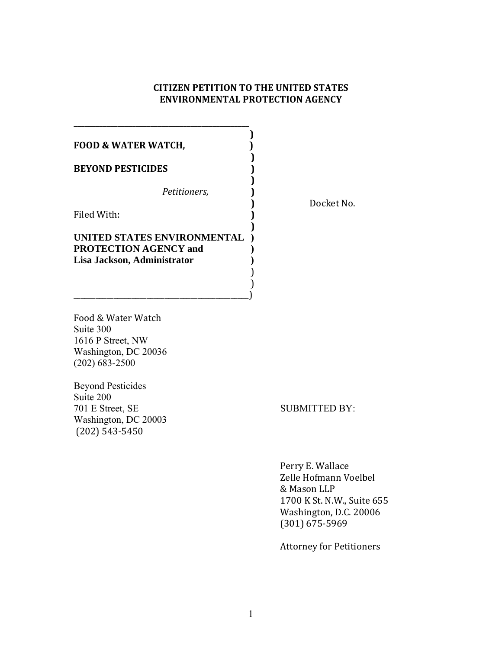# **CITIZEN PETITION TO THE UNITED STATES ENVIRONMENTAL PROTECTION AGENCY**

| <b>FOOD &amp; WATER WATCH,</b>                                                             |  |
|--------------------------------------------------------------------------------------------|--|
| <b>BEYOND PESTICIDES</b>                                                                   |  |
| Petitioners,                                                                               |  |
| Filed With:                                                                                |  |
| UNITED STATES ENVIRONMENTAL<br><b>PROTECTION AGENCY and</b><br>Lisa Jackson, Administrator |  |

\_\_\_\_\_\_\_\_\_\_\_\_\_\_\_\_\_\_\_\_\_\_\_\_\_\_\_\_\_\_\_\_\_\_\_\_\_\_\_\_\_\_\_\_\_\_\_\_)

**\_\_\_\_\_\_\_\_\_\_\_\_\_\_\_\_\_\_\_\_\_\_\_\_\_\_\_\_\_\_\_\_\_\_\_\_\_\_\_\_\_\_\_\_\_\_\_\_**

**)** Docket No.

Food & Water Watch Suite 300 1616 P Street, NW Washington, DC 20036 202) 683-2500 (

Beyond Pesticides Suite 200 Washington, DC 20003 701 E Street, SE SUBMITTED BY: (202) 543‐5450

Perry E. Wallace Zelle Hofmann Voelbel 1700 K St. N.W., Suite 655 & Mason LLP Washington, D.C. 20006 (301) 675‐5969

Attorney for Petitioners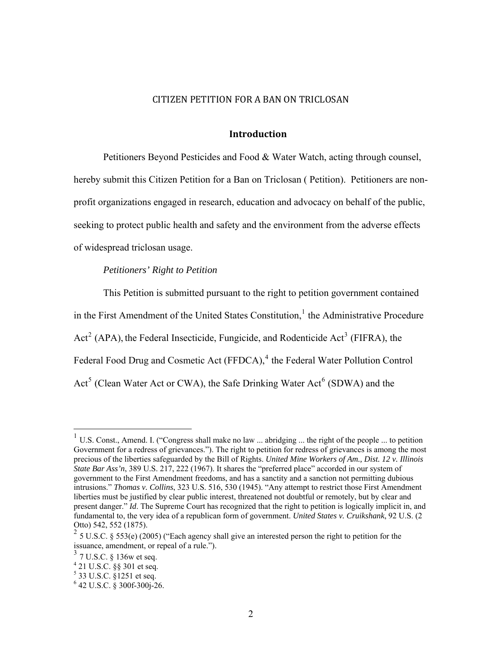## CITIZEN PETITION FOR A BAN ON TRICLOSAN

#### **Introduction**

Petitioners Beyond Pesticides and Food & Water Watch, acting through counsel, hereby submit this Citizen Petition for a Ban on Triclosan ( Petition). Petitioners are nonprofit organizations engaged in research, education and advocacy on behalf of the public, seeking to protect public health and safety and the environment from the adverse effects of widespread triclosan usage.

## *Petitioners' Right to Petition*

This Petition is submitted pursuant to the right to petition government contained in the First Amendment of the United States Constitution,<sup>[1](#page-1-0)</sup> the Administrative Procedure Act<sup>[2](#page-1-1)</sup> (APA), the Federal Insecticide, Fungicide, and Rodenticide Act<sup>[3](#page-1-2)</sup> (FIFRA), the Federal Food Drug and Cosmetic Act (FFDCA),<sup>[4](#page-1-3)</sup> the Federal Water Pollution Control Act<sup>[5](#page-1-4)</sup> (Clean Water Act or CWA), the Safe Drinking Water Act<sup>[6](#page-1-5)</sup> (SDWA) and the

<span id="page-1-0"></span><sup>&</sup>lt;sup>1</sup> U.S. Const., Amend. I. ("Congress shall make no law ... abridging ... the right of the people ... to petition Government for a redress of grievances."). The right to petition for redress of grievances is among the most precious of the liberties safeguarded by the Bill of Rights. *United Mine Workers of Am., Dist. 12 v. Illinois State Bar Ass'n*, 389 U.S. 217, 222 (1967). It shares the "preferred place" accorded in our system of government to the First Amendment freedoms, and has a sanctity and a sanction not permitting dubious intrusions." *Thomas v. Collins*, 323 U.S. 516, 530 (1945). "Any attempt to restrict those First Amendment liberties must be justified by clear public interest, threatened not doubtful or remotely, but by clear and present danger." *Id*. The Supreme Court has recognized that the right to petition is logically implicit in, and fundamental to, the very idea of a republican form of government. *United States v. Cruikshank*, 92 U.S. (2 Otto) 542, 552 (1875).

<span id="page-1-1"></span><sup>&</sup>lt;sup>2</sup> 5 U.S.C. § 553(e) (2005) ("Each agency shall give an interested person the right to petition for the issuance, amendment, or repeal of a rule.").

<span id="page-1-2"></span> $3$  7 U.S.C. § 136w et seq.

<span id="page-1-3"></span><sup>4</sup> 21 U.S.C. §§ 301 et seq.

<sup>&</sup>lt;sup>5</sup> 33 U.S.C. §1251 et seq.

<span id="page-1-5"></span><span id="page-1-4"></span><sup>6</sup> 42 U.S.C. § 300f-300j-26.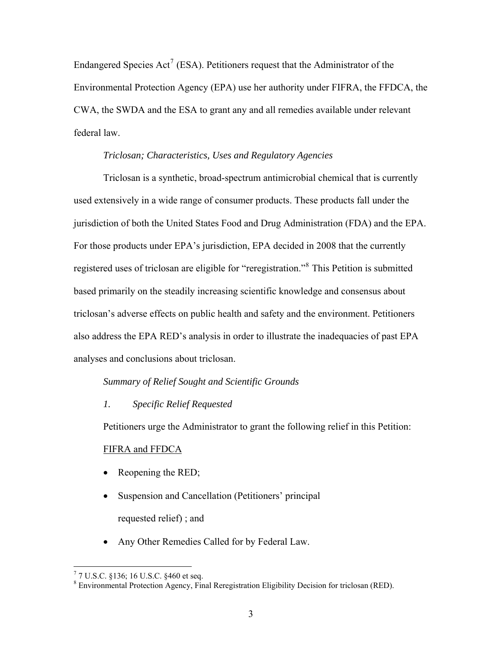Endangered Species  $Act^7$  $Act^7$  (ESA). Petitioners request that the Administrator of the Environmental Protection Agency (EPA) use her authority under FIFRA, the FFDCA, the CWA, the SWDA and the ESA to grant any and all remedies available under relevant federal law.

## *Triclosan; Characteristics, Uses and Regulatory Agencies*

Triclosan is a synthetic, broad-spectrum antimicrobial chemical that is currently used extensively in a wide range of consumer products. These products fall under the jurisdiction of both the United States Food and Drug Administration (FDA) and the EPA. For those products under EPA's jurisdiction, EPA decided in 2008 that the currently registered uses of triclosan are eligible for "reregistration."<sup>[8](#page-2-1)</sup> This Petition is submitted based primarily on the steadily increasing scientific knowledge and consensus about triclosan's adverse effects on public health and safety and the environment. Petitioners also address the EPA RED's analysis in order to illustrate the inadequacies of past EPA analyses and conclusions about triclosan.

## *Summary of Relief Sought and Scientific Grounds*

*1. Specific Relief Requested* 

Petitioners urge the Administrator to grant the following relief in this Petition:

# FIFRA and FFDCA

- Reopening the RED;
- Suspension and Cancellation (Petitioners' principal requested relief) ; and
- Any Other Remedies Called for by Federal Law.

<span id="page-2-0"></span> 7 7 U.S.C. §136; 16 U.S.C. §460 et seq.

<span id="page-2-1"></span><sup>&</sup>lt;sup>8</sup> Environmental Protection Agency, Final Reregistration Eligibility Decision for triclosan (RED).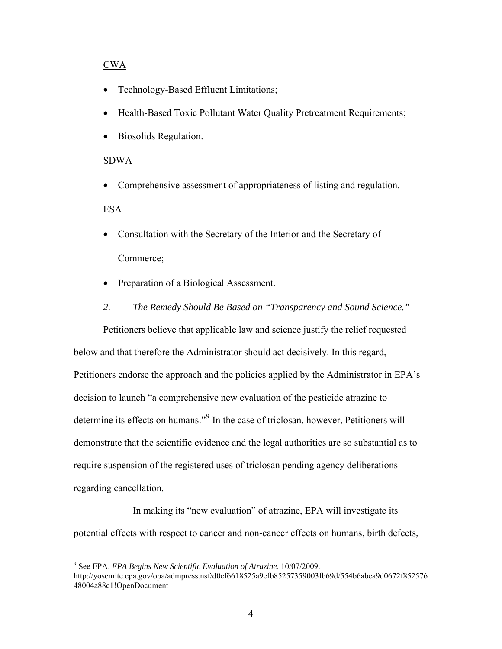# CWA

- Technology-Based Effluent Limitations;
- Health-Based Toxic Pollutant Water Quality Pretreatment Requirements;
- Biosolids Regulation.

# SDWA

• Comprehensive assessment of appropriateness of listing and regulation.

# ESA

1

- Consultation with the Secretary of the Interior and the Secretary of Commerce;
- Preparation of a Biological Assessment.
- *2. The Remedy Should Be Based on "Transparency and Sound Science."*

Petitioners believe that applicable law and science justify the relief requested below and that therefore the Administrator should act decisively. In this regard, Petitioners endorse the approach and the policies applied by the Administrator in EPA's decision to launch "a comprehensive new evaluation of the pesticide atrazine to determine its effects on humans."<sup>[9](#page-3-0)</sup> In the case of triclosan, however, Petitioners will demonstrate that the scientific evidence and the legal authorities are so substantial as to require suspension of the registered uses of triclosan pending agency deliberations regarding cancellation.

In making its "new evaluation" of atrazine, EPA will investigate its potential effects with respect to cancer and non-cancer effects on humans, birth defects,

<span id="page-3-0"></span><sup>9</sup> See EPA. *EPA Begins New Scientific Evaluation of Atrazine*. 10/07/2009. [http://yosemite.epa.gov/opa/admpress.nsf/d0cf6618525a9efb85257359003fb69d/554b6abea9d0672f852576](http://yosemite.epa.gov/opa/admpress.nsf/d0cf6618525a9efb85257359003fb69d/554b6abea9d0672f85257648004a88c1!OpenDocument) [48004a88c1!OpenDocument](http://yosemite.epa.gov/opa/admpress.nsf/d0cf6618525a9efb85257359003fb69d/554b6abea9d0672f85257648004a88c1!OpenDocument)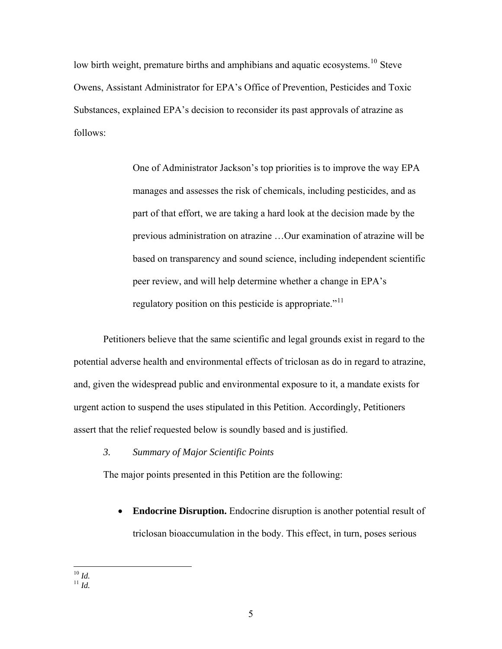low birth weight, premature births and amphibians and aquatic ecosystems.<sup>[10](#page-4-0)</sup> Steve Owens, Assistant Administrator for EPA's Office of Prevention, Pesticides and Toxic Substances, explained EPA's decision to reconsider its past approvals of atrazine as follows:

> One of Administrator Jackson's top priorities is to improve the way EPA manages and assesses the risk of chemicals, including pesticides, and as part of that effort, we are taking a hard look at the decision made by the previous administration on atrazine …Our examination of atrazine will be based on transparency and sound science, including independent scientific peer review, and will help determine whether a change in EPA's regulatory position on this pesticide is appropriate."<sup>[11](#page-4-1)</sup>

Petitioners believe that the same scientific and legal grounds exist in regard to the potential adverse health and environmental effects of triclosan as do in regard to atrazine, and, given the widespread public and environmental exposure to it, a mandate exists for urgent action to suspend the uses stipulated in this Petition. Accordingly, Petitioners assert that the relief requested below is soundly based and is justified.

## *3. Summary of Major Scientific Points*

The major points presented in this Petition are the following:

• **Endocrine Disruption.** Endocrine disruption is another potential result of triclosan bioaccumulation in the body. This effect, in turn, poses serious

<span id="page-4-1"></span><span id="page-4-0"></span> $\overline{a}$ 10 *Id.* 11 *Id.*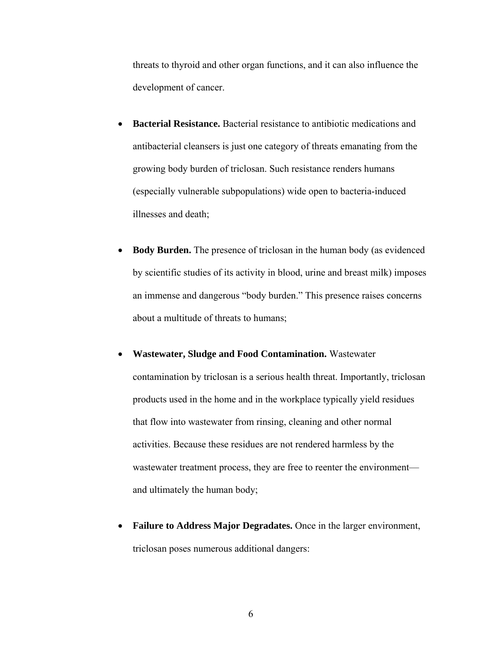threats to thyroid and other organ functions, and it can also influence the development of cancer.

- **Bacterial Resistance.** Bacterial resistance to antibiotic medications and antibacterial cleansers is just one category of threats emanating from the growing body burden of triclosan. Such resistance renders humans (especially vulnerable subpopulations) wide open to bacteria-induced illnesses and death;
- **Body Burden.** The presence of triclosan in the human body (as evidenced by scientific studies of its activity in blood, urine and breast milk) imposes an immense and dangerous "body burden." This presence raises concerns about a multitude of threats to humans;
- **Wastewater, Sludge and Food Contamination.** Wastewater contamination by triclosan is a serious health threat. Importantly, triclosan products used in the home and in the workplace typically yield residues that flow into wastewater from rinsing, cleaning and other normal activities. Because these residues are not rendered harmless by the wastewater treatment process, they are free to reenter the environment and ultimately the human body;
- **Failure to Address Major Degradates.** Once in the larger environment, triclosan poses numerous additional dangers: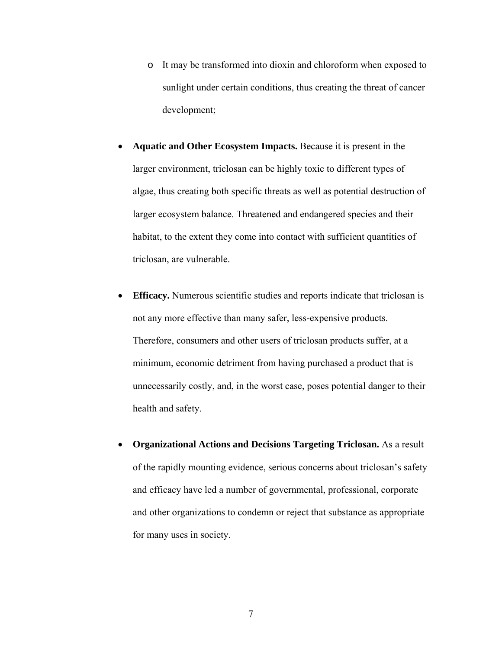- o It may be transformed into dioxin and chloroform when exposed to sunlight under certain conditions, thus creating the threat of cancer development;
- **Aquatic and Other Ecosystem Impacts.** Because it is present in the larger environment, triclosan can be highly toxic to different types of algae, thus creating both specific threats as well as potential destruction of larger ecosystem balance. Threatened and endangered species and their habitat, to the extent they come into contact with sufficient quantities of triclosan, are vulnerable.
- **Efficacy.** Numerous scientific studies and reports indicate that triclosan is not any more effective than many safer, less-expensive products. Therefore, consumers and other users of triclosan products suffer, at a minimum, economic detriment from having purchased a product that is unnecessarily costly, and, in the worst case, poses potential danger to their health and safety.
- **Organizational Actions and Decisions Targeting Triclosan.** As a result of the rapidly mounting evidence, serious concerns about triclosan's safety and efficacy have led a number of governmental, professional, corporate and other organizations to condemn or reject that substance as appropriate for many uses in society.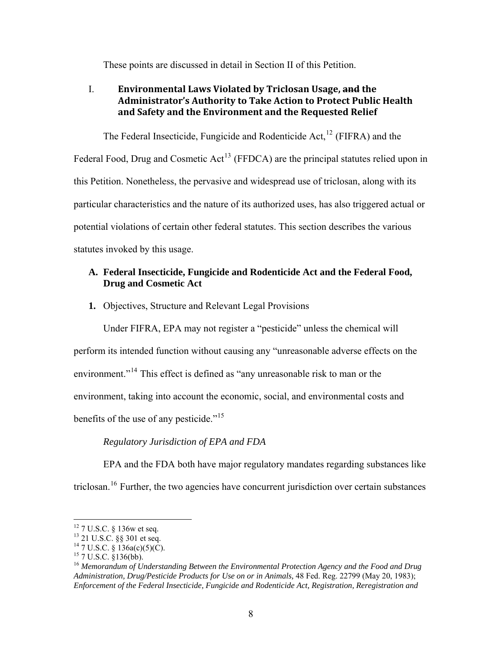These points are discussed in detail in Section II of this Petition.

# I. **Environmental Laws Violated by Triclosan Usage, and the Administrator's Authority to Take Action to Protect Public Health and Safety and the Environment and the Requested Relief**

The Federal Insecticide, Fungicide and Rodenticide Act,  $^{12}$  $^{12}$  $^{12}$  (FIFRA) and the Federal Food, Drug and Cosmetic  $Act^{13}$  $Act^{13}$  $Act^{13}$  (FFDCA) are the principal statutes relied upon in this Petition. Nonetheless, the pervasive and widespread use of triclosan, along with its particular characteristics and the nature of its authorized uses, has also triggered actual or potential violations of certain other federal statutes. This section describes the various statutes invoked by this usage.

# **A. Federal Insecticide, Fungicide and Rodenticide Act and the Federal Food, Drug and Cosmetic Act**

**1.** Objectives, Structure and Relevant Legal Provisions

Under FIFRA, EPA may not register a "pesticide" unless the chemical will perform its intended function without causing any "unreasonable adverse effects on the environment."<sup>[14](#page-7-2)</sup> This effect is defined as "any unreasonable risk to man or the environment, taking into account the economic, social, and environmental costs and benefits of the use of any pesticide."<sup>[15](#page-7-3)</sup>

# *Regulatory Jurisdiction of EPA and FDA*

EPA and the FDA both have major regulatory mandates regarding substances like triclosan.<sup>[16](#page-7-4)</sup> Further, the two agencies have concurrent jurisdiction over certain substances

 $12$  7 U.S.C. § 136w et seq.

<span id="page-7-1"></span><span id="page-7-0"></span><sup>13 21</sup> U.S.C. §§ 301 et seq.

<span id="page-7-2"></span> $14$  7 U.S.C. § 136a(c)(5)(C).

<span id="page-7-3"></span><sup>15 7</sup> U.S.C. §136(bb).

<span id="page-7-4"></span><sup>16</sup> *Memorandum of Understanding Between the Environmental Protection Agency and the Food and Drug Administration, Drug/Pesticide Products for Use on or in Animals,* 48 Fed. Reg. 22799 (May 20, 1983); *Enforcement of the Federal Insecticide, Fungicide and Rodenticide Act, Registration, Reregistration and*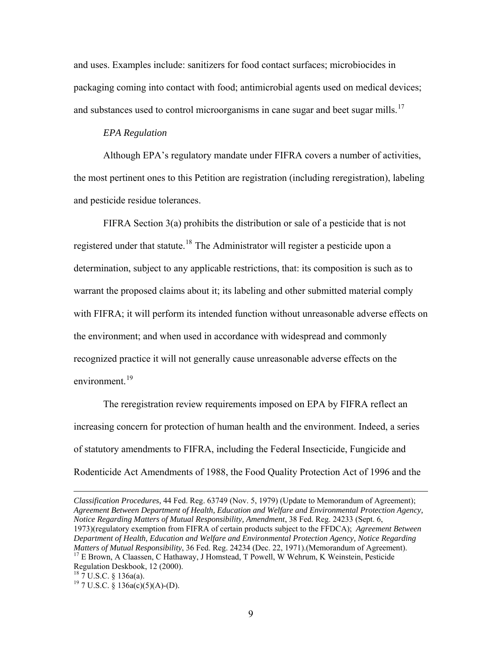and uses. Examples include: sanitizers for food contact surfaces; microbiocides in packaging coming into contact with food; antimicrobial agents used on medical devices; and substances used to control microorganisms in cane sugar and beet sugar mills.<sup>[17](#page-8-0)</sup>

## *EPA Regulation*

 Although EPA's regulatory mandate under FIFRA covers a number of activities, the most pertinent ones to this Petition are registration (including reregistration), labeling and pesticide residue tolerances.

 FIFRA Section 3(a) prohibits the distribution or sale of a pesticide that is not registered under that statute.<sup>[18](#page-8-1)</sup> The Administrator will register a pesticide upon a determination, subject to any applicable restrictions, that: its composition is such as to warrant the proposed claims about it; its labeling and other submitted material comply with FIFRA; it will perform its intended function without unreasonable adverse effects on the environment; and when used in accordance with widespread and commonly recognized practice it will not generally cause unreasonable adverse effects on the environment $19$ 

The reregistration review requirements imposed on EPA by FIFRA reflect an increasing concern for protection of human health and the environment. Indeed, a series of statutory amendments to FIFRA, including the Federal Insecticide, Fungicide and Rodenticide Act Amendments of 1988, the Food Quality Protection Act of 1996 and the

*Classification Procedures,* 44 Fed. Reg. 63749 (Nov. 5, 1979) (Update to Memorandum of Agreement); *Agreement Between Department of Health, Education and Welfare and Environmental Protection Agency, Notice Regarding Matters of Mutual Responsibility, Amendment*, 38 Fed. Reg. 24233 (Sept. 6, 1973)(regulatory exemption from FIFRA of certain products subject to the FFDCA); *Agreement Between Department of Health, Education and Welfare and Environmental Protection Agency, Notice Regarding Matters of Mutual Responsibility*, 36 Fed. Reg. 24234 (Dec. 22, 1971). (Memorandum of Agreement). <sup>17</sup> E Brown, A Claassen, C Hathaway, J Homstead, T Powell, W Wehrum, K Weinstein, Pesticide Regulation Deskbook, 12 (2000). 18 7 U.S.C. § 136a(a).

<span id="page-8-2"></span><span id="page-8-1"></span><span id="page-8-0"></span> $19$  7 U.S.C. § 136a(c)(5)(A)-(D).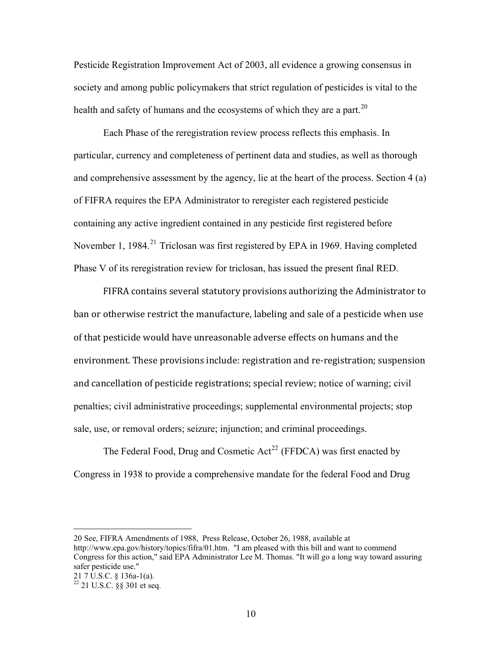Pesticide Registration Improvement Act of 2003, all evidence a growing consensus in society and among public policymakers that strict regulation of pesticides is vital to the health and safety of humans and the ecosystems of which they are a part.<sup>[20](#page-9-0)</sup>

 Each Phase of the reregistration review process reflects this emphasis. In particular, currency and completeness of pertinent data and studies, as well as thorough and comprehensive assessment by the agency, lie at the heart of the process. Section 4 (a) of FIFRA requires the EPA Administrator to reregister each registered pesticide containing any active ingredient contained in any pesticide first registered before November 1, 1984.<sup>[21](#page-9-1)</sup> Triclosan was first registered by EPA in 1969. Having completed Phase V of its reregistration review for triclosan, has issued the present final RED.

FIFRA contains several statutory provisions authorizing the Administrator to ban or otherwise restrict the manufacture, labeling and sale of a pesticide when use of that pesticide would have unreasonable adverse effects on humans and the environment. These provisions include: registration and re‐registration; suspension and cancellation of pesticide registrations; special review; notice of warning; civil penalties; civil administrative proceedings; supplemental environmental projects; stop sale, use, or removal orders; seizure; injunction; and criminal proceedings.

The Federal Food, Drug and Cosmetic  $Act^{22}$  $Act^{22}$  $Act^{22}$  (FFDCA) was first enacted by Congress in 1938 to provide a comprehensive mandate for the federal Food and Drug

<span id="page-9-0"></span>20 See, FIFRA Amendments of 1988, Press Release, October 26, 1988, available at <http://www.epa.gov/history/topics/fifra/01.htm>. "I am pleased with this bill and want to commend Congress for this action," said EPA Administrator Lee M. Thomas. "It will go a long way toward assuring safer pesticide use."

<span id="page-9-1"></span><sup>21 7</sup> U.S.C. § 136a-1(a).

<span id="page-9-2"></span> $^{22}$  21 U.S.C. §§ 301 et seq.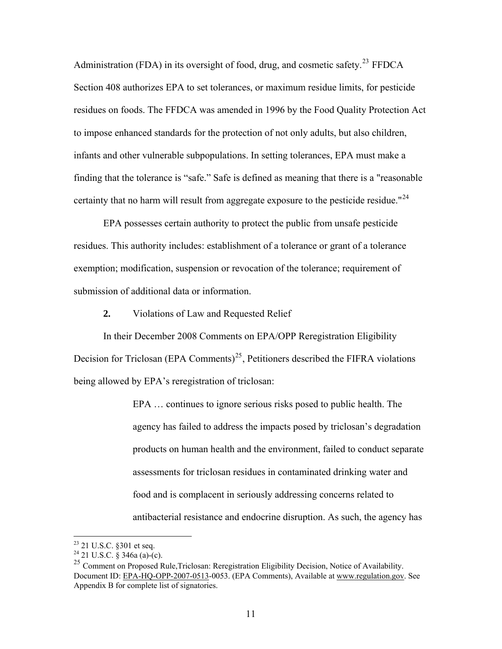Administration (FDA) in its oversight of food, drug, and cosmetic safety.<sup>[23](#page-10-0)</sup> FFDCA Section 408 authorizes EPA to set tolerances, or maximum residue limits, for pesticide residues on foods. The FFDCA was amended in 1996 by the Food Quality Protection Act to impose enhanced standards for the protection of not only adults, but also children, infants and other vulnerable subpopulations. In setting tolerances, EPA must make a finding that the tolerance is "safe." Safe is defined as meaning that there is a "reasonable certainty that no harm will result from aggregate exposure to the pesticide residue."<sup>[24](#page-10-1)</sup>

EPA possesses certain authority to protect the public from unsafe pesticide residues. This authority includes: establishment of a tolerance or grant of a tolerance exemption; modification, suspension or revocation of the tolerance; requirement of submission of additional data or information.

**2.** Violations of Law and Requested Relief

In their December 2008 Comments on EPA/OPP Reregistration Eligibility Decision for Triclosan (EPA Comments)<sup>[25](#page-10-2)</sup>, Petitioners described the FIFRA violations being allowed by EPA's reregistration of triclosan:

> EPA … continues to ignore serious risks posed to public health. The agency has failed to address the impacts posed by triclosan's degradation products on human health and the environment, failed to conduct separate assessments for triclosan residues in contaminated drinking water and food and is complacent in seriously addressing concerns related to antibacterial resistance and endocrine disruption. As such, the agency has

 $23$  21 U.S.C. §301 et seq.

<span id="page-10-1"></span><span id="page-10-0"></span> $24\overline{21}$  U.S.C. § 346a (a)-(c).

<span id="page-10-2"></span><sup>&</sup>lt;sup>25</sup> Comment on Proposed Rule, Triclosan: Reregistration Eligibility Decision, Notice of Availability. Document ID: [EPA-HQ-OPP-2007-0513](http://www.regulations.gov/search/Regs/home.html#docketDetail?R=EPA-HQ-OPP-2007-0513)-0053. (EPA Comments), Available at [www.regulation.gov](http://www.regulation.gov/). See Appendix B for complete list of signatories.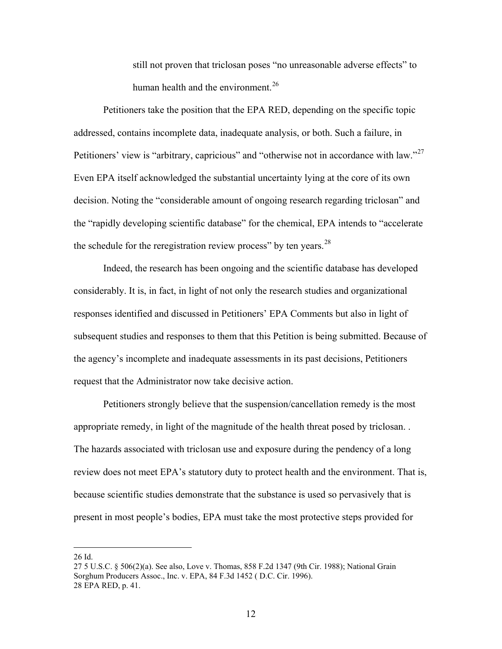still not proven that triclosan poses "no unreasonable adverse effects" to human health and the environment.<sup>[26](#page-11-0)</sup>

Petitioners take the position that the EPA RED, depending on the specific topic addressed, contains incomplete data, inadequate analysis, or both. Such a failure, in Petitioners' view is "arbitrary, capricious" and "otherwise not in accordance with law."<sup>[27](#page-11-1)</sup> Even EPA itself acknowledged the substantial uncertainty lying at the core of its own decision. Noting the "considerable amount of ongoing research regarding triclosan" and the "rapidly developing scientific database" for the chemical, EPA intends to "accelerate the schedule for the reregistration review process" by ten years.<sup>[28](#page-11-2)</sup>

 Indeed, the research has been ongoing and the scientific database has developed considerably. It is, in fact, in light of not only the research studies and organizational responses identified and discussed in Petitioners' EPA Comments but also in light of subsequent studies and responses to them that this Petition is being submitted. Because of the agency's incomplete and inadequate assessments in its past decisions, Petitioners request that the Administrator now take decisive action.

Petitioners strongly believe that the suspension/cancellation remedy is the most appropriate remedy, in light of the magnitude of the health threat posed by triclosan. . The hazards associated with triclosan use and exposure during the pendency of a long review does not meet EPA's statutory duty to protect health and the environment. That is, because scientific studies demonstrate that the substance is used so pervasively that is present in most people's bodies, EPA must take the most protective steps provided for

<span id="page-11-0"></span>26 Id.

<span id="page-11-2"></span><span id="page-11-1"></span><sup>27 5</sup> U.S.C. § 506(2)(a). See also, Love v. Thomas, 858 F.2d 1347 (9th Cir. 1988); National Grain Sorghum Producers Assoc., Inc. v. EPA, 84 F.3d 1452 ( D.C. Cir. 1996). 28 EPA RED, p. 41.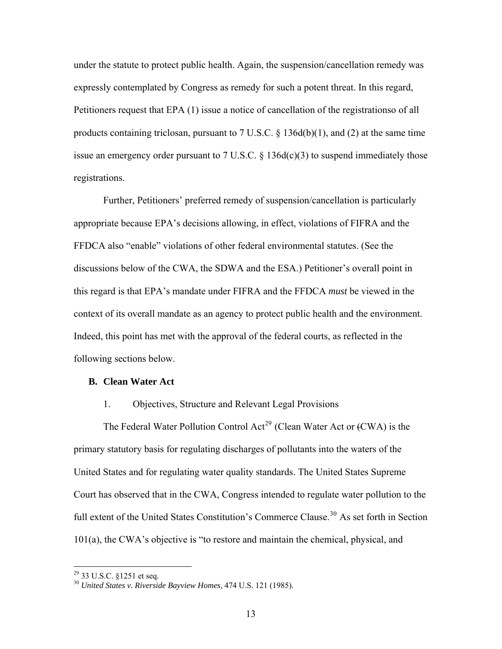under the statute to protect public health. Again, the suspension/cancellation remedy was expressly contemplated by Congress as remedy for such a potent threat. In this regard, Petitioners request that EPA (1) issue a notice of cancellation of the registrationso of all products containing triclosan, pursuant to 7 U.S.C. § 136d(b)(1), and (2) at the same time issue an emergency order pursuant to 7 U.S.C.  $\S$  136d(c)(3) to suspend immediately those registrations.

 Further, Petitioners' preferred remedy of suspension/cancellation is particularly appropriate because EPA's decisions allowing, in effect, violations of FIFRA and the FFDCA also "enable" violations of other federal environmental statutes. (See the discussions below of the CWA, the SDWA and the ESA.) Petitioner's overall point in this regard is that EPA's mandate under FIFRA and the FFDCA *must* be viewed in the context of its overall mandate as an agency to protect public health and the environment. Indeed, this point has met with the approval of the federal courts, as reflected in the following sections below.

### **B. Clean Water Act**

## 1. Objectives, Structure and Relevant Legal Provisions

The Federal Water Pollution Control Act<sup>[29](#page-12-0)</sup> (Clean Water Act or  $fCWA$ ) is the primary statutory basis for regulating discharges of pollutants into the waters of the United States and for regulating water quality standards. The United States Supreme Court has observed that in the CWA, Congress intended to regulate water pollution to the full extent of the United States Constitution's Commerce Clause.<sup>[30](#page-12-1)</sup> As set forth in Section 101(a), the CWA's objective is "to restore and maintain the chemical, physical, and

 $29$  33 U.S.C. §1251 et seq.

<span id="page-12-1"></span><span id="page-12-0"></span><sup>30</sup> *United States v. Riverside Bayview Homes,* 474 U.S. 121 (1985).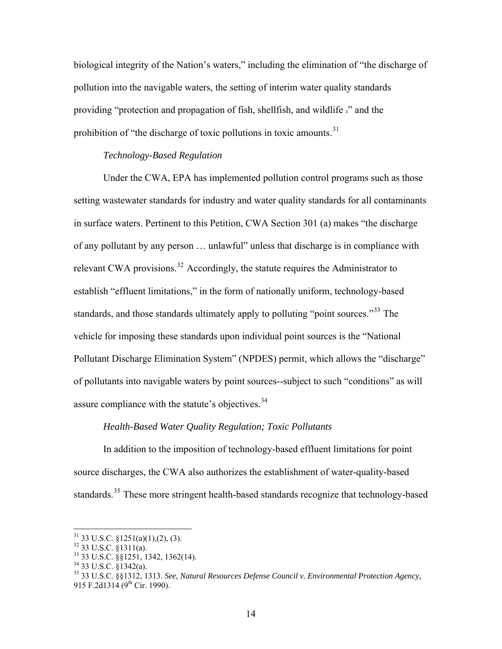biological integrity of the Nation's waters," including the elimination of "the discharge of pollution into the navigable waters, the setting of interim water quality standards providing "protection and propagation of fish, shellfish, and wildlife ." and the prohibition of "the discharge of toxic pollutions in toxic amounts.<sup>[31](#page-13-0)</sup>

## *Technology-Based Regulation*

Under the CWA, EPA has implemented pollution control programs such as those setting wastewater standards for industry and water quality standards for all contaminants in surface waters. Pertinent to this Petition, CWA Section 301 (a) makes "the discharge of any pollutant by any person … unlawful" unless that discharge is in compliance with relevant CWA provisions.<sup>[32](#page-13-1)</sup> Accordingly, the statute requires the Administrator to establish "effluent limitations," in the form of nationally uniform, technology-based standards, and those standards ultimately apply to polluting "point sources."<sup>[33](#page-13-2)</sup> The vehicle for imposing these standards upon individual point sources is the "National Pollutant Discharge Elimination System" (NPDES) permit, which allows the "discharge" of pollutants into navigable waters by point sources--subject to such "conditions" as will assure compliance with the statute's objectives.<sup>[34](#page-13-3)</sup>

## *Health-Based Water Quality Regulation; Toxic Pollutants*

In addition to the imposition of technology-based effluent limitations for point source discharges, the CWA also authorizes the establishment of water-quality-based standards.<sup>[35](#page-13-4)</sup> These more stringent health-based standards recognize that technology-based

<span id="page-13-0"></span> $31$  33 U.S.C. §1251(a)(1),(2), (3).

 $32$  33 U.S.C. §1311(a).

<span id="page-13-2"></span><span id="page-13-1"></span><sup>33 33</sup> U.S.C. §§1251, 1342, 1362(14).

<span id="page-13-3"></span> $34$  33 U.S.C.  $\frac{81}{3}$ 342(a).

<span id="page-13-4"></span><sup>35 33</sup> U.S.C. §§1312, 1313. *See, Natural Resources Defense Council v. Environmental Protection Agency,* 915 F.2d1314 (9<sup>th</sup> Cir. 1990).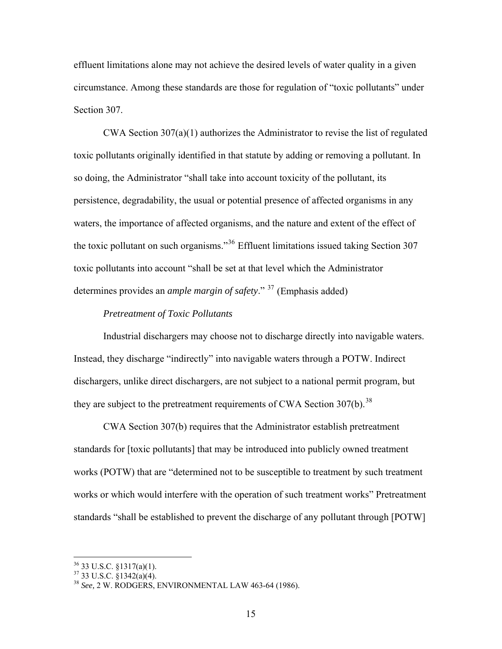effluent limitations alone may not achieve the desired levels of water quality in a given circumstance. Among these standards are those for regulation of "toxic pollutants" under Section 307.

CWA Section  $307(a)(1)$  authorizes the Administrator to revise the list of regulated toxic pollutants originally identified in that statute by adding or removing a pollutant. In so doing, the Administrator "shall take into account toxicity of the pollutant, its persistence, degradability, the usual or potential presence of affected organisms in any waters, the importance of affected organisms, and the nature and extent of the effect of the toxic pollutant on such organisms."[36](#page-14-0) Effluent limitations issued taking Section 307 toxic pollutants into account "shall be set at that level which the Administrator determines provides an *ample margin of safety*." [37](#page-14-1) (Emphasis added)

## *Pretreatment of Toxic Pollutants*

Industrial dischargers may choose not to discharge directly into navigable waters. Instead, they discharge "indirectly" into navigable waters through a POTW. Indirect dischargers, unlike direct dischargers, are not subject to a national permit program, but they are subject to the pretreatment requirements of CWA Section  $307(b)$ .<sup>[38](#page-14-2)</sup>

CWA Section 307(b) requires that the Administrator establish pretreatment standards for [toxic pollutants] that may be introduced into publicly owned treatment works (POTW) that are "determined not to be susceptible to treatment by such treatment works or which would interfere with the operation of such treatment works" Pretreatment standards "shall be established to prevent the discharge of any pollutant through [POTW]

<span id="page-14-0"></span> $36$  33 U.S.C. §1317(a)(1).

<span id="page-14-1"></span> $37$  33 U.S.C. §1342(a)(4).

<span id="page-14-2"></span><sup>38</sup> *See,* 2 W. RODGERS, ENVIRONMENTAL LAW 463-64 (1986).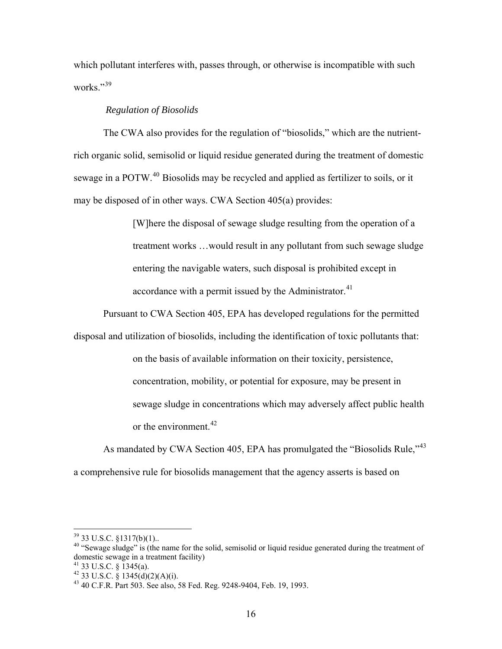which pollutant interferes with, passes through, or otherwise is incompatible with such works."[39](#page-15-0)

## *Regulation of Biosolids*

The CWA also provides for the regulation of "biosolids," which are the nutrientrich organic solid, semisolid or liquid residue generated during the treatment of domestic sewage in a POTW.<sup>[40](#page-15-1)</sup> Biosolids may be recycled and applied as fertilizer to soils, or it may be disposed of in other ways. CWA Section 405(a) provides:

> [W]here the disposal of sewage sludge resulting from the operation of a treatment works …would result in any pollutant from such sewage sludge entering the navigable waters, such disposal is prohibited except in accordance with a permit issued by the Administrator. $41$

Pursuant to CWA Section 405, EPA has developed regulations for the permitted

disposal and utilization of biosolids, including the identification of toxic pollutants that:

on the basis of available information on their toxicity, persistence, concentration, mobility, or potential for exposure, may be present in sewage sludge in concentrations which may adversely affect public health or the environment.  $42$ 

As mandated by CWA Section 405, EPA has promulgated the "Biosolids Rule,"<sup>[43](#page-15-4)</sup> a comprehensive rule for biosolids management that the agency asserts is based on

 $39$  33 U.S.C. §1317(b)(1)..

<span id="page-15-1"></span><span id="page-15-0"></span><sup>&</sup>lt;sup>40</sup> "Sewage sludge" is (the name for the solid, semisolid or liquid residue generated during the treatment of domestic sewage in a treatment facility)

 $41$  33 U.S.C. § 1345(a).

<span id="page-15-3"></span><span id="page-15-2"></span><sup>42 33</sup> U.S.C.  $\frac{8}{3}$  1345(d)(2)(A)(i).

<span id="page-15-4"></span><sup>43 40</sup> C.F.R. Part 503. See also, 58 Fed. Reg. 9248-9404, Feb. 19, 1993.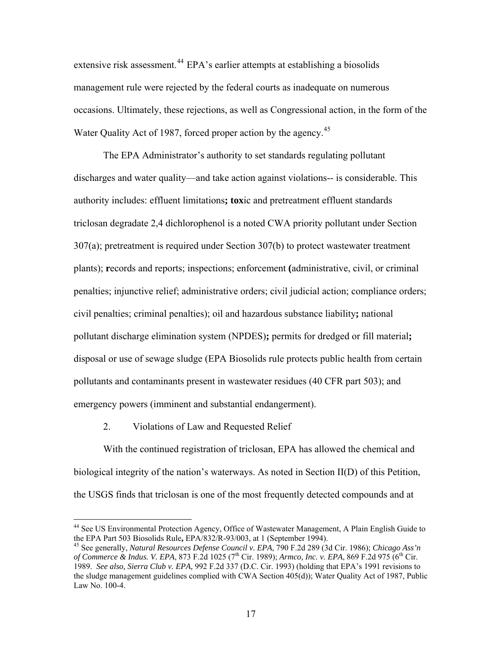extensive risk assessment.<sup>[44](#page-16-0)</sup> EPA's earlier attempts at establishing a biosolids management rule were rejected by the federal courts as inadequate on numerous occasions. Ultimately, these rejections, as well as Congressional action, in the form of the Water Quality Act of 1987, forced proper action by the agency.<sup>[45](#page-16-1)</sup>

 The EPA Administrator's authority to set standards regulating pollutant discharges and water quality—and take action against violations-- is considerable. This authority includes: effluent limitations**; tox**ic and pretreatment effluent standards triclosan degradate 2,4 dichlorophenol is a noted CWA priority pollutant under Section 307(a); pretreatment is required under Section 307(b) to protect wastewater treatment plants); **r**ecords and reports; inspections; enforcement **(**administrative, civil, or criminal penalties; injunctive relief; administrative orders; civil judicial action; compliance orders; civil penalties; criminal penalties); oil and hazardous substance liability**;** national pollutant discharge elimination system (NPDES)**;** permits for dredged or fill material**;**  disposal or use of sewage sludge (EPA Biosolids rule protects public health from certain pollutants and contaminants present in wastewater residues (40 CFR part 503); and emergency powers (imminent and substantial endangerment).

2. Violations of Law and Requested Relief

 $\overline{a}$ 

With the continued registration of triclosan, EPA has allowed the chemical and biological integrity of the nation's waterways. As noted in Section II(D) of this Petition, the USGS finds that triclosan is one of the most frequently detected compounds and at

<span id="page-16-0"></span><sup>&</sup>lt;sup>44</sup> See US Environmental Protection Agency, Office of Wastewater Management, A Plain English Guide to the EPA Part 503 Biosolids Rule**,** EPA/832/R-93/003, at 1 (September 1994). 45 See generally, *Natural Resources Defense Council v. EPA*, 790 F.2d 289 (3d Cir. 1986); *Chicago Ass'n* 

<span id="page-16-1"></span>*of Commerce & Indus. V. EPA*, 873 F.2d 1025 (7<sup>th</sup> Cir. 1989); *Armco, Inc. v. EPA*, 869 F.2d 975 (6<sup>th</sup> Cir. 1989. *See also, Sierra Club v. EPA,* 992 F.2d 337 (D.C. Cir. 1993) (holding that EPA's 1991 revisions to the sludge management guidelines complied with CWA Section 405(d)); Water Quality Act of 1987, Public Law No. 100-4.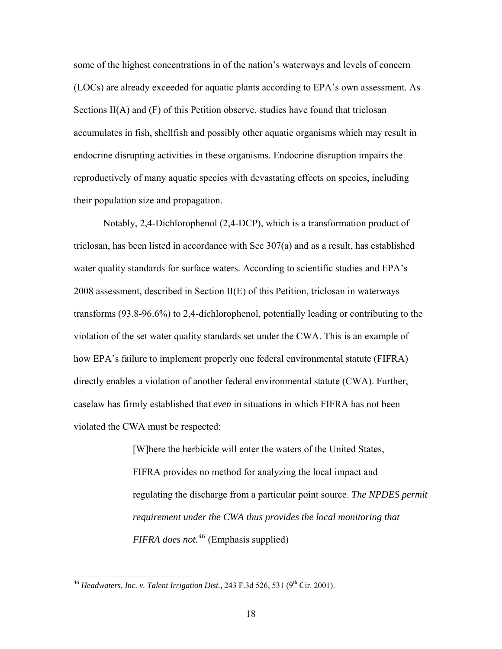some of the highest concentrations in of the nation's waterways and levels of concern (LOCs) are already exceeded for aquatic plants according to EPA's own assessment. As Sections II(A) and (F) of this Petition observe, studies have found that triclosan accumulates in fish, shellfish and possibly other aquatic organisms which may result in endocrine disrupting activities in these organisms. Endocrine disruption impairs the reproductively of many aquatic species with devastating effects on species, including their population size and propagation.

 Notably, 2,4-Dichlorophenol (2,4-DCP), which is a transformation product of triclosan, has been listed in accordance with Sec 307(a) and as a result, has established water quality standards for surface waters. According to scientific studies and EPA's 2008 assessment, described in Section II(E) of this Petition, triclosan in waterways transforms (93.8-96.6%) to 2,4-dichlorophenol, potentially leading or contributing to the violation of the set water quality standards set under the CWA. This is an example of how EPA's failure to implement properly one federal environmental statute (FIFRA) directly enables a violation of another federal environmental statute (CWA). Further, caselaw has firmly established that *even* in situations in which FIFRA has not been violated the CWA must be respected:

> [W]here the herbicide will enter the waters of the United States, FIFRA provides no method for analyzing the local impact and regulating the discharge from a particular point source. *The NPDES permit requirement under the CWA thus provides the local monitoring that FIFRA does not.[46](#page-17-0)* (Emphasis supplied)

<u>.</u>

<span id="page-17-0"></span><sup>&</sup>lt;sup>46</sup> *Headwaters, Inc. v. Talent Irrigation Dist.,* 243 F.3d 526, 531 (9<sup>th</sup> Cir. 2001).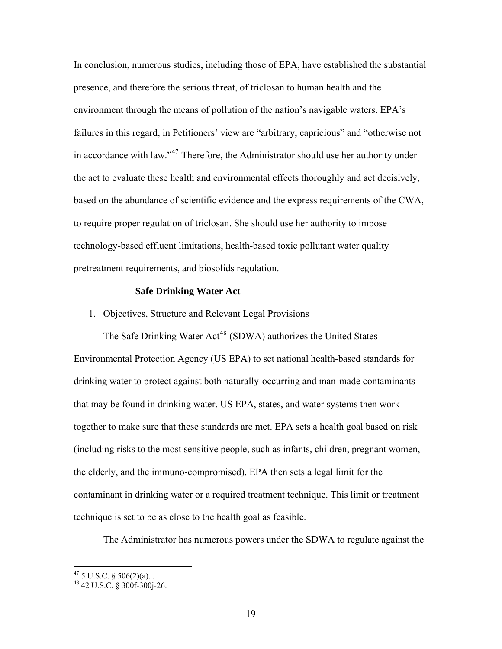In conclusion, numerous studies, including those of EPA, have established the substantial presence, and therefore the serious threat, of triclosan to human health and the environment through the means of pollution of the nation's navigable waters. EPA's failures in this regard, in Petitioners' view are "arbitrary, capricious" and "otherwise not in accordance with law."<sup>[47](#page-18-0)</sup> Therefore, the Administrator should use her authority under the act to evaluate these health and environmental effects thoroughly and act decisively, based on the abundance of scientific evidence and the express requirements of the CWA, to require proper regulation of triclosan. She should use her authority to impose technology-based effluent limitations, health-based toxic pollutant water quality pretreatment requirements, and biosolids regulation.

#### **Safe Drinking Water Act**

1. Objectives, Structure and Relevant Legal Provisions

The Safe Drinking Water Act<sup>[48](#page-18-1)</sup> (SDWA) authorizes the United States Environmental Protection Agency (US EPA) to set national health-based standards for drinking water to protect against both naturally-occurring and man-made contaminants that may be found in drinking water. US EPA, states, and water systems then work together to make sure that these standards are met. EPA sets a health goal based on risk (including risks to the most sensitive people, such as infants, children, pregnant women, the elderly, and the immuno-compromised). EPA then sets a legal limit for the contaminant in drinking water or a required treatment technique. This limit or treatment technique is set to be as close to the health goal as feasible.

The Administrator has numerous powers under the SDWA to regulate against the

<span id="page-18-0"></span> $^{47}$  5 U.S.C. § 506(2)(a)..

<span id="page-18-1"></span><sup>48 42</sup> U.S.C. § 300f-300j-26.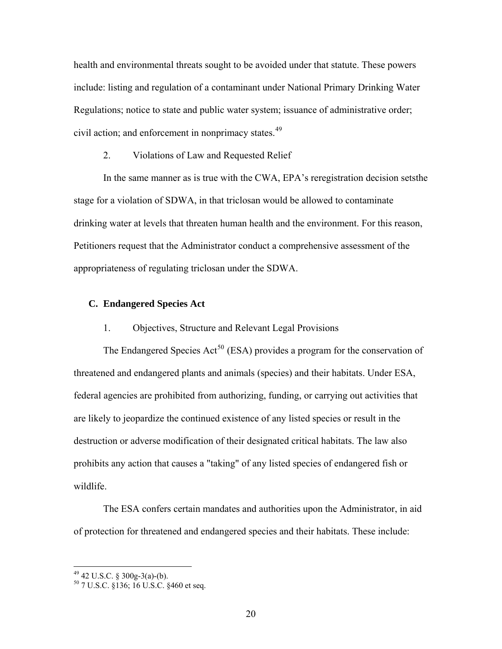health and environmental threats sought to be avoided under that statute. These powers include: listing and regulation of a contaminant under National Primary Drinking Water Regulations; notice to state and public water system; issuance of administrative order; civil action; and enforcement in nonprimacy states.<sup>[49](#page-19-0)</sup>

2. Violations of Law and Requested Relief

 In the same manner as is true with the CWA, EPA's reregistration decision setsthe stage for a violation of SDWA, in that triclosan would be allowed to contaminate drinking water at levels that threaten human health and the environment. For this reason, Petitioners request that the Administrator conduct a comprehensive assessment of the appropriateness of regulating triclosan under the SDWA.

# **C. Endangered Species Act**

1. Objectives, Structure and Relevant Legal Provisions

The Endangered Species Act<sup>[50](#page-19-1)</sup> (ESA) provides a program for the conservation of threatened and endangered plants and animals (species) and their habitats. Under ESA, federal agencies are prohibited from authorizing, funding, or carrying out activities that are likely to jeopardize the continued existence of any listed species or result in the destruction or adverse modification of their designated critical habitats. The law also prohibits any action that causes a "taking" of any listed species of endangered fish or wildlife.

 The ESA confers certain mandates and authorities upon the Administrator, in aid of protection for threatened and endangered species and their habitats. These include:

<span id="page-19-0"></span> $49$  42 U.S.C. § 300g-3(a)-(b).

<span id="page-19-1"></span><sup>50 7</sup> U.S.C. §136; 16 U.S.C. §460 et seq.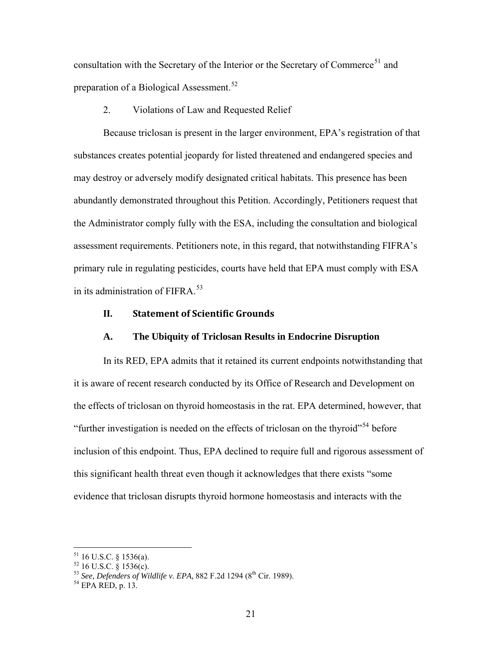consultation with the Secretary of the Interior or the Secretary of Commerce<sup>[51](#page-20-0)</sup> and preparation of a Biological Assessment.<sup>[52](#page-20-1)</sup>

2. Violations of Law and Requested Relief

Because triclosan is present in the larger environment, EPA's registration of that substances creates potential jeopardy for listed threatened and endangered species and may destroy or adversely modify designated critical habitats. This presence has been abundantly demonstrated throughout this Petition. Accordingly, Petitioners request that the Administrator comply fully with the ESA, including the consultation and biological assessment requirements. Petitioners note, in this regard, that notwithstanding FIFRA's primary rule in regulating pesticides, courts have held that EPA must comply with ESA in its administration of FIFRA.<sup>[53](#page-20-2)</sup>

## **II. Statement of Scientific Grounds**

#### **A. The Ubiquity of Triclosan Results in Endocrine Disruption**

In its RED, EPA admits that it retained its current endpoints notwithstanding that it is aware of recent research conducted by its Office of Research and Development on the effects of triclosan on thyroid homeostasis in the rat. EPA determined, however, that "further investigation is needed on the effects of triclosan on the thyroid"<sup>[54](#page-20-3)</sup> before inclusion of this endpoint. Thus, EPA declined to require full and rigorous assessment of this significant health threat even though it acknowledges that there exists "some evidence that triclosan disrupts thyroid hormone homeostasis and interacts with the

<span id="page-20-0"></span> $51$  16 U.S.C. § 1536(a).

 $52$  16 U.S.C. § 1536(c).

<span id="page-20-3"></span><span id="page-20-2"></span><span id="page-20-1"></span><sup>53</sup> *See, Defenders of Wildlife v. EPA, 882 F.2d 1294 (8<sup>th</sup> Cir. 1989).*<br><sup>54</sup> EPA RED, p. 13.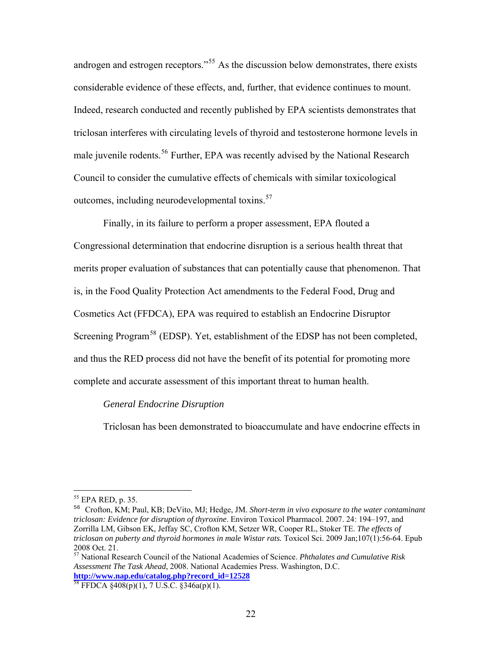androgen and estrogen receptors."<sup>[55](#page-21-0)</sup> As the discussion below demonstrates, there exists considerable evidence of these effects, and, further, that evidence continues to mount. Indeed, research conducted and recently published by EPA scientists demonstrates that triclosan interferes with circulating levels of thyroid and testosterone hormone levels in male juvenile rodents.<sup>[56](#page-21-1)</sup> Further, EPA was recently advised by the National Research Council to consider the cumulative effects of chemicals with similar toxicological outcomes, including neurodevelopmental toxins.<sup>[57](#page-21-2)</sup>

Finally, in its failure to perform a proper assessment, EPA flouted a Congressional determination that endocrine disruption is a serious health threat that merits proper evaluation of substances that can potentially cause that phenomenon. That is, in the Food Quality Protection Act amendments to the Federal Food, Drug and Cosmetics Act (FFDCA), EPA was required to establish an Endocrine Disruptor Screening Program<sup>[58](#page-21-3)</sup> (EDSP). Yet, establishment of the EDSP has not been completed, and thus the RED process did not have the benefit of its potential for promoting more complete and accurate assessment of this important threat to human health.

## *General Endocrine Disruption*

Triclosan has been demonstrated to bioaccumulate and have endocrine effects in

<span id="page-21-0"></span><sup>55</sup> EPA RED, p. 35.

<span id="page-21-1"></span><sup>56</sup> Crofton, KM; Paul, KB; DeVito, MJ; Hedge, JM. *Short-term in vivo exposure to the water contaminant triclosan: Evidence for disruption of thyroxine*. Environ Toxicol Pharmacol. 2007. 24: 194–197, and Zorrilla LM, Gibson EK, Jeffay SC, Crofton KM, Setzer WR, Cooper RL, Stoker TE. *The effects of triclosan on puberty and thyroid hormones in male Wistar rats.* Toxicol Sci. 2009 Jan;107(1):56-64. Epub 2008 Oct. 21.

<span id="page-21-2"></span><sup>57</sup> National Research Council of the National Academies of Science. *Phthalates and Cumulative Risk Assessment The Task Ahead,* 2008. National Academies Press. Washington, D.C. **[http://www.nap.edu/catalog.php?record\\_id=12528](http://www.nap.edu/catalog.php?record_id=12528)**<br><sup>58</sup> FFDCA §408(p)(1), 7 U.S.C. §346a(p)(1).

<span id="page-21-3"></span>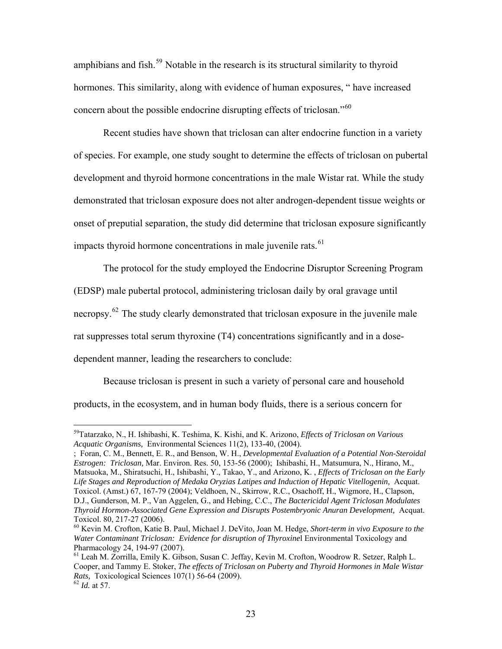amphibians and fish.<sup>[59](#page-22-0)</sup> Notable in the research is its structural similarity to thyroid hormones. This similarity, along with evidence of human exposures, " have increased concern about the possible endocrine disrupting effects of triclosan."<sup>[60](#page-22-1)</sup>

 Recent studies have shown that triclosan can alter endocrine function in a variety of species. For example, one study sought to determine the effects of triclosan on pubertal development and thyroid hormone concentrations in the male Wistar rat. While the study demonstrated that triclosan exposure does not alter androgen-dependent tissue weights or onset of preputial separation, the study did determine that triclosan exposure significantly impacts thyroid hormone concentrations in male juvenile rats.<sup>[61](#page-22-2)</sup>

 The protocol for the study employed the Endocrine Disruptor Screening Program (EDSP) male pubertal protocol, administering triclosan daily by oral gravage until necropsy.<sup>[62](#page-22-3)</sup> The study clearly demonstrated that triclosan exposure in the juvenile male rat suppresses total serum thyroxine (T4) concentrations significantly and in a dosedependent manner, leading the researchers to conclude:

 Because triclosan is present in such a variety of personal care and household products, in the ecosystem, and in human body fluids, there is a serious concern for

; Foran, C. M., Bennett, E. R., and Benson, W. H., *Developmental Evaluation of a Potential Non-Steroidal Estrogen: Triclosan,* Mar. Environ. Res. 50, 153-56 (2000); Ishibashi, H., Matsumura, N., Hirano, M., Matsuoka, M., Shiratsuchi, H., Ishibashi, Y., Takao, Y., and Arizono, K. , *Effects of Triclosan on the Early*  Life Stages and Reproduction of Medaka Oryzias Latipes and Induction of Hepatic Vitellogenin, Acquat. Toxicol. (Amst.) 67, 167-79 (2004); Veldhoen, N., Skirrow, R.C., Osachoff, H., Wigmore, H., Clapson, D.J., Gunderson, M. P., Van Aggelen, G., and Hebing, C.C., *The Bactericidal Agent Triclosan Modulates Thyroid Hormon-Associated Gene Expression and Disrupts Postembryonic Anuran Development,* Acquat. Toxicol. 80, 217-27 (2006).

<span id="page-22-0"></span><sup>59</sup>Tatarzako, N., H. Ishibashi, K. Teshima, K. Kishi, and K. Arizono, *Effects of Triclosan on Various Acquatic Organisms,* Environmental Sciences 11(2), 133-40, (2004).

<span id="page-22-1"></span><sup>60</sup> Kevin M. Crofton, Katie B. Paul, Michael J. DeVito, Joan M. Hedge, *Short-term in vivo Exposure to the Water Contaminant Triclosan: Evidence for disruption of Thyroxine*l Environmental Toxicology and Pharmacology 24, 194-97 (2007).

<span id="page-22-2"></span><sup>61</sup> Leah M. Zorrilla, Emily K. Gibson, Susan C. Jeffay, Kevin M. Crofton, Woodrow R. Setzer, Ralph L. Cooper, and Tammy E. Stoker, *The effects of Triclosan on Puberty and Thyroid Hormones in Male Wistar Rats, Toxicological Sciences 107(1) 56-64 (2009).* <sup>62</sup> *Id.* at 57.

<span id="page-22-3"></span>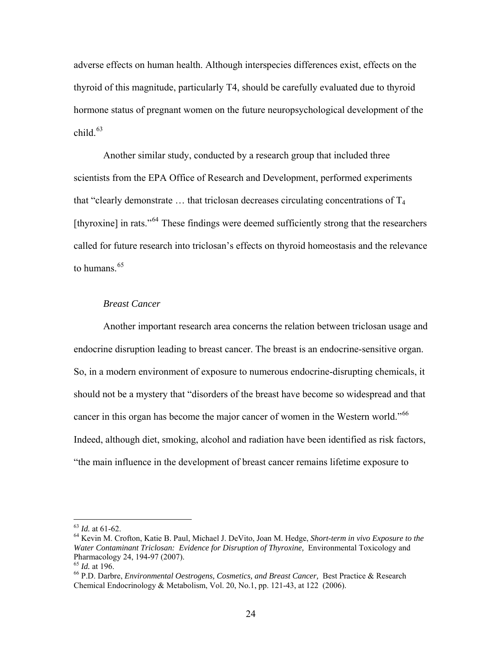adverse effects on human health. Although interspecies differences exist, effects on the thyroid of this magnitude, particularly T4, should be carefully evaluated due to thyroid hormone status of pregnant women on the future neuropsychological development of the child $63$ 

 Another similar study, conducted by a research group that included three scientists from the EPA Office of Research and Development, performed experiments that "clearly demonstrate  $\ldots$  that triclosan decreases circulating concentrations of  $T_4$ [thyroxine] in rats."<sup>[64](#page-23-1)</sup> These findings were deemed sufficiently strong that the researchers called for future research into triclosan's effects on thyroid homeostasis and the relevance to humans $65$ 

## *Breast Cancer*

Another important research area concerns the relation between triclosan usage and endocrine disruption leading to breast cancer. The breast is an endocrine-sensitive organ. So, in a modern environment of exposure to numerous endocrine-disrupting chemicals, it should not be a mystery that "disorders of the breast have become so widespread and that cancer in this organ has become the major cancer of women in the Western world."<sup>[66](#page-23-3)</sup> Indeed, although diet, smoking, alcohol and radiation have been identified as risk factors, "the main influence in the development of breast cancer remains lifetime exposure to

<span id="page-23-0"></span> $63$  *Id.* at 61-62.

<span id="page-23-1"></span><sup>&</sup>lt;sup>64</sup> Kevin M. Crofton, Katie B. Paul, Michael J. DeVito, Joan M. Hedge, *Short-term in vivo Exposure to the Water Contaminant Triclosan: Evidence for Disruption of Thyroxine,* Environmental Toxicology and Pharmacology 24, 194-97 (2007).<br><sup>65</sup> Id. at 196.

<span id="page-23-2"></span>

<span id="page-23-3"></span><sup>&</sup>lt;sup>66</sup> P.D. Darbre, *Environmental Oestrogens, Cosmetics, and Breast Cancer*, Best Practice & Research Chemical Endocrinology & Metabolism, Vol. 20, No.1, pp. 121-43, at 122 (2006).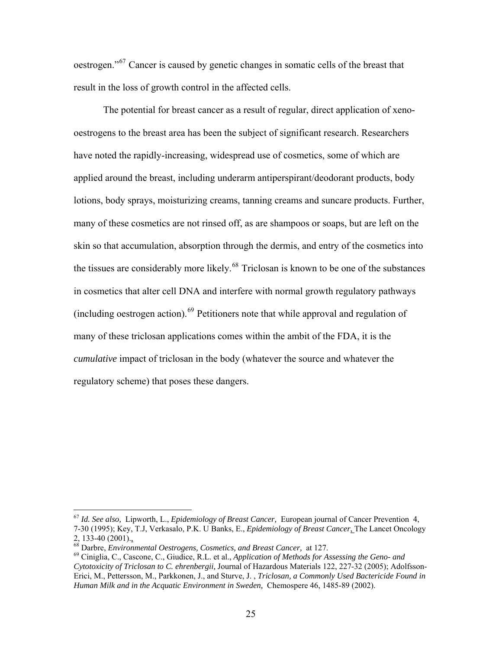oestrogen."[67](#page-24-0) Cancer is caused by genetic changes in somatic cells of the breast that result in the loss of growth control in the affected cells.

 The potential for breast cancer as a result of regular, direct application of xenooestrogens to the breast area has been the subject of significant research. Researchers have noted the rapidly-increasing, widespread use of cosmetics, some of which are applied around the breast, including underarm antiperspirant/deodorant products, body lotions, body sprays, moisturizing creams, tanning creams and suncare products. Further, many of these cosmetics are not rinsed off, as are shampoos or soaps, but are left on the skin so that accumulation, absorption through the dermis, and entry of the cosmetics into the tissues are considerably more likely.<sup>[68](#page-24-1)</sup> Triclosan is known to be one of the substances in cosmetics that alter cell DNA and interfere with normal growth regulatory pathways (including oestrogen action). $^{69}$  $^{69}$  $^{69}$  Petitioners note that while approval and regulation of many of these triclosan applications comes within the ambit of the FDA, it is the *cumulative* impact of triclosan in the body (whatever the source and whatever the regulatory scheme) that poses these dangers.

<span id="page-24-0"></span><sup>67</sup> *Id. See also,* Lipworth, L., *Epidemiology of Breast Cancer,* European journal of Cancer Prevention 4, 7-30 (1995); Key, T.J, Verkasalo, P.K. U Banks, E., *Epidemiology of Breast Cancer*, The Lancet Oncology

<span id="page-24-2"></span><span id="page-24-1"></span>

<sup>2, 133-40 (2001).&</sup>lt;u>,</u><br><sup>68</sup> Darbre, *Environmental Oestrogens, Cosmetics, and Breast Cancer, at 127.*<br><sup>69</sup> Ciniglia, C., Cascone, C., Giudice, R.L. et al., *Application of Methods for Assessing the Geno- and Cytotoxicity of Triclosan to C. ehrenbergii,* Journal of Hazardous Materials 122, 227-32 (2005); Adolfsson-Erici, M., Pettersson, M., Parkkonen, J., and Sturve, J. , *Triclosan, a Commonly Used Bactericide Found in Human Milk and in the Acquatic Environment in Sweden,* Chemospere 46, 1485-89 (2002).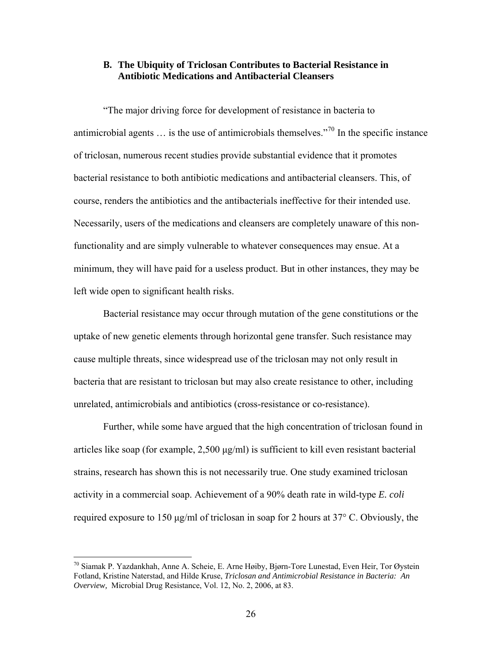# **B. The Ubiquity of Triclosan Contributes to Bacterial Resistance in Antibiotic Medications and Antibacterial Cleansers**

"The major driving force for development of resistance in bacteria to antimicrobial agents  $\ldots$  is the use of antimicrobials themselves."<sup>[70](#page-25-0)</sup> In the specific instance of triclosan, numerous recent studies provide substantial evidence that it promotes bacterial resistance to both antibiotic medications and antibacterial cleansers. This, of course, renders the antibiotics and the antibacterials ineffective for their intended use. Necessarily, users of the medications and cleansers are completely unaware of this nonfunctionality and are simply vulnerable to whatever consequences may ensue. At a minimum, they will have paid for a useless product. But in other instances, they may be left wide open to significant health risks.

Bacterial resistance may occur through mutation of the gene constitutions or the uptake of new genetic elements through horizontal gene transfer. Such resistance may cause multiple threats, since widespread use of the triclosan may not only result in bacteria that are resistant to triclosan but may also create resistance to other, including unrelated, antimicrobials and antibiotics (cross-resistance or co-resistance).

Further, while some have argued that the high concentration of triclosan found in articles like soap (for example, 2,500 μg/ml) is sufficient to kill even resistant bacterial strains, research has shown this is not necessarily true. One study examined triclosan activity in a commercial soap. Achievement of a 90% death rate in wild-type *E. coli*  required exposure to 150 μg/ml of triclosan in soap for 2 hours at 37° C. Obviously, the

<span id="page-25-0"></span><sup>70</sup> Siamak P. Yazdankhah, Anne A. Scheie, E. Arne Høiby, Bjørn-Tore Lunestad, Even Heir, Tor Øystein Fotland, Kristine Naterstad, and Hilde Kruse, *Triclosan and Antimicrobial Resistance in Bacteria: An Overview,* Microbial Drug Resistance, Vol. 12, No. 2, 2006, at 83.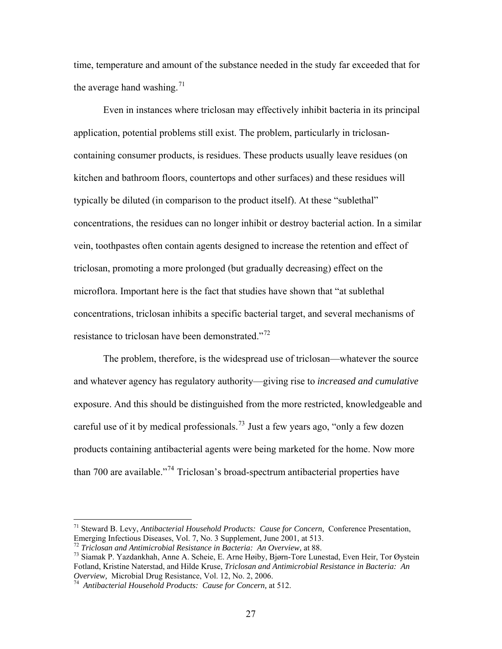time, temperature and amount of the substance needed in the study far exceeded that for the average hand washing.<sup>[71](#page-26-0)</sup>

 Even in instances where triclosan may effectively inhibit bacteria in its principal application, potential problems still exist. The problem, particularly in triclosancontaining consumer products, is residues. These products usually leave residues (on kitchen and bathroom floors, countertops and other surfaces) and these residues will typically be diluted (in comparison to the product itself). At these "sublethal" concentrations, the residues can no longer inhibit or destroy bacterial action. In a similar vein, toothpastes often contain agents designed to increase the retention and effect of triclosan, promoting a more prolonged (but gradually decreasing) effect on the microflora. Important here is the fact that studies have shown that "at sublethal concentrations, triclosan inhibits a specific bacterial target, and several mechanisms of resistance to triclosan have been demonstrated."<sup>[72](#page-26-1)</sup>

The problem, therefore, is the widespread use of triclosan—whatever the source and whatever agency has regulatory authority—giving rise to *increased and cumulative* exposure. And this should be distinguished from the more restricted, knowledgeable and careful use of it by medical professionals.[73](#page-26-2) Just a few years ago, "only a few dozen products containing antibacterial agents were being marketed for the home. Now more than 700 are available."[74](#page-26-3) Triclosan's broad-spectrum antibacterial properties have

<span id="page-26-0"></span><sup>71</sup> Steward B. Levy, *Antibacterial Household Products: Cause for Concern,* Conference Presentation, Emerging Infectious Diseases, Vol. 7, No. 3 Supplement, June 2001, at 513.

<span id="page-26-2"></span><span id="page-26-1"></span><sup>&</sup>lt;sup>72</sup> *Triclosan and Antimicrobial Resistance in Bacteria: An Overview, at 88.*<br><sup>73</sup> Siamak P. Yazdankhah, Anne A. Scheie, E. Arne Høiby, Bjørn-Tore Lunestad, Even Heir, Tor Øystein Fotland, Kristine Naterstad, and Hilde Kruse, *Triclosan and Antimicrobial Resistance in Bacteria: An Overview,* Microbial Drug Resistance, Vol. 12, No. 2, 2006. 74 *Antibacterial Household Products: Cause for Concern,* at 512.

<span id="page-26-3"></span>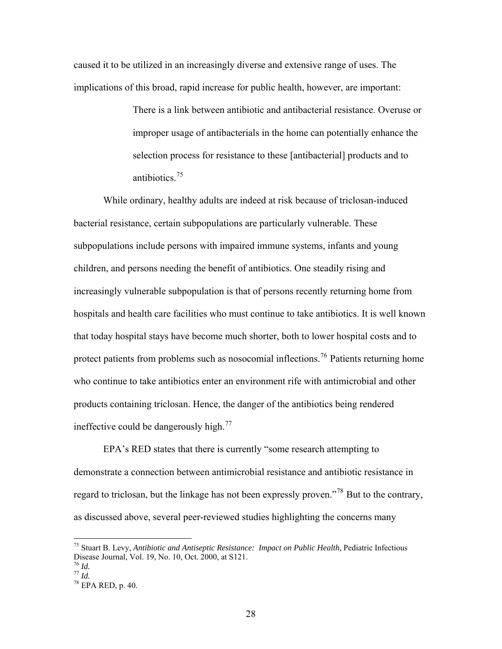caused it to be utilized in an increasingly diverse and extensive range of uses. The implications of this broad, rapid increase for public health, however, are important:

> There is a link between antibiotic and antibacterial resistance. Overuse or improper usage of antibacterials in the home can potentially enhance the selection process for resistance to these [antibacterial] products and to antibiotics.[75](#page-27-0)

 While ordinary, healthy adults are indeed at risk because of triclosan-induced bacterial resistance, certain subpopulations are particularly vulnerable. These subpopulations include persons with impaired immune systems, infants and young children, and persons needing the benefit of antibiotics. One steadily rising and increasingly vulnerable subpopulation is that of persons recently returning home from hospitals and health care facilities who must continue to take antibiotics. It is well known that today hospital stays have become much shorter, both to lower hospital costs and to protect patients from problems such as nosocomial inflections.<sup>[76](#page-27-1)</sup> Patients returning home who continue to take antibiotics enter an environment rife with antimicrobial and other products containing triclosan. Hence, the danger of the antibiotics being rendered ineffective could be dangerously high. $^{77}$  $^{77}$  $^{77}$ 

EPA's RED states that there is currently "some research attempting to demonstrate a connection between antimicrobial resistance and antibiotic resistance in regard to triclosan, but the linkage has not been expressly proven."[78](#page-27-3) But to the contrary, as discussed above, several peer-reviewed studies highlighting the concerns many

<span id="page-27-0"></span><sup>75</sup> Stuart B. Levy, *Antibiotic and Antiseptic Resistance: Impact on Public Health,* Pediatric Infectious Disease Journal, Vol. 19, No. 10, Oct. 2000, at S121.  $^{76}$  *Id.* 

<span id="page-27-1"></span>

<span id="page-27-3"></span><span id="page-27-2"></span><sup>76</sup> *Id.* <sup>77</sup> *Id.* 78 EPA RED, p. 40.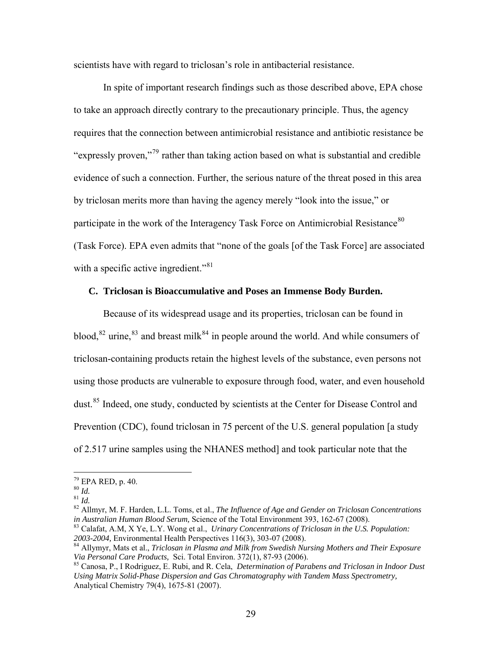scientists have with regard to triclosan's role in antibacterial resistance.

 In spite of important research findings such as those described above, EPA chose to take an approach directly contrary to the precautionary principle. Thus, the agency requires that the connection between antimicrobial resistance and antibiotic resistance be "expressly proven,"[79](#page-28-0) rather than taking action based on what is substantial and credible evidence of such a connection. Further, the serious nature of the threat posed in this area by triclosan merits more than having the agency merely "look into the issue," or participate in the work of the Interagency Task Force on Antimicrobial Resistance<sup>[80](#page-28-1)</sup> (Task Force). EPA even admits that "none of the goals [of the Task Force] are associated with a specific active ingredient."<sup>[81](#page-28-2)</sup>

# **C. Triclosan is Bioaccumulative and Poses an Immense Body Burden.**

Because of its widespread usage and its properties, triclosan can be found in blood,  $82$  urine,  $83$  and breast milk  $84$  in people around the world. And while consumers of triclosan-containing products retain the highest levels of the substance, even persons not using those products are vulnerable to exposure through food, water, and even household dust.<sup>[85](#page-28-6)</sup> Indeed, one study, conducted by scientists at the Center for Disease Control and Prevention (CDC), found triclosan in 75 percent of the U.S. general population [a study of 2.517 urine samples using the NHANES method] and took particular note that the

<span id="page-28-0"></span> $^{79}_{80}$  EPA RED, p. 40.<br> $^{80}$  *Id.* 

<span id="page-28-3"></span><span id="page-28-2"></span><span id="page-28-1"></span><sup>81</sup> *Id.*<br><sup>81</sup> *Id.* 82 Allmyr, M. F. Harden, L.L. Toms, et al., *The Influence of Age and Gender on Triclosan Concentrations* 

<span id="page-28-4"></span>*in Australian Human Blood Serum, Science of the Total Environment 393, 162-67 (2008).*<br><sup>83</sup> Calafat, A.M, X Ye, L.Y. Wong et al., *Urinary Concentrations of Triclosan in the U.S. Population: 2003-2004, Environmental Healt* 

<span id="page-28-5"></span><sup>&</sup>lt;sup>84</sup> Allymyr, Mats et al., *Triclosan in Plasma and Milk from Swedish Nursing Mothers and Their Exposure Via Personal Care Products, Sci. Total Environ.* 372(1), 87-93 (2006).<br><sup>85</sup> Canosa, P., I Rodriguez, E. Rubi, and R. Cela, *Determination of Parabens and Triclosan in Indoor Dust* 

<span id="page-28-6"></span>*Using Matrix Solid-Phase Dispersion and Gas Chromatography with Tandem Mass Spectrometry,*  Analytical Chemistry 79(4), 1675-81 (2007).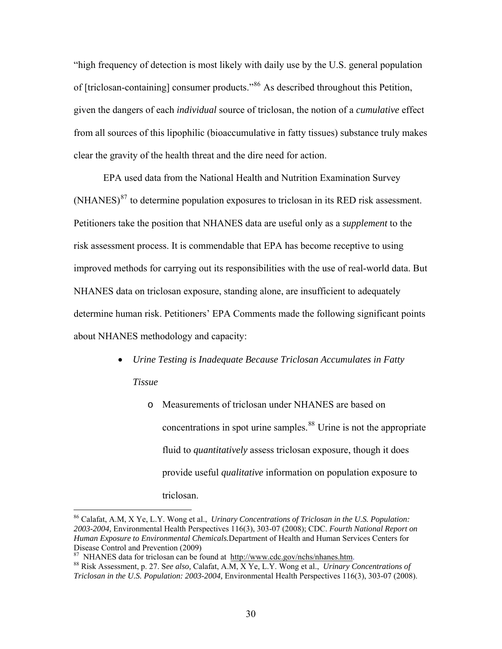"high frequency of detection is most likely with daily use by the U.S. general population of [triclosan-containing] consumer products."[86](#page-29-0) As described throughout this Petition, given the dangers of each *individual* source of triclosan, the notion of a *cumulative* effect from all sources of this lipophilic (bioaccumulative in fatty tissues) substance truly makes clear the gravity of the health threat and the dire need for action.

EPA used data from the National Health and Nutrition Examination Survey  $(NHANES)^{87}$  $(NHANES)^{87}$  $(NHANES)^{87}$  to determine population exposures to triclosan in its RED risk assessment. Petitioners take the position that NHANES data are useful only as a *supplement* to the risk assessment process. It is commendable that EPA has become receptive to using improved methods for carrying out its responsibilities with the use of real-world data. But NHANES data on triclosan exposure, standing alone, are insufficient to adequately determine human risk. Petitioners' EPA Comments made the following significant points about NHANES methodology and capacity:

- *Urine Testing is Inadequate Because Triclosan Accumulates in Fatty* 
	- *Tissue*

 $\overline{a}$ 

o Measurements of triclosan under NHANES are based on concentrations in spot urine samples.<sup>[88](#page-29-2)</sup> Urine is not the appropriate fluid to *quantitatively* assess triclosan exposure, though it does provide useful *qualitative* information on population exposure to triclosan.

<span id="page-29-0"></span><sup>86</sup> Calafat, A.M, X Ye, L.Y. Wong et al., *Urinary Concentrations of Triclosan in the U.S. Population: 2003-2004,* Environmental Health Perspectives 116(3), 303-07 (2008); CDC. *Fourth National Report on Human Exposure to Environmental Chemicals.*Department of Health and Human Services Centers for Disease Control and Prevention (2009)<br><sup>87</sup> NHANES data for triclosan can be found at <u><http://www.cdc.gov/nchs/nhanes.htm></u>.<br><sup>88</sup> Risk Assessment, p. 27. See also, Calafat, A.M., X Ye, L.Y. Wong et al., *Urinary Concentratio* 

<span id="page-29-2"></span><span id="page-29-1"></span>

*Triclosan in the U.S. Population: 2003-2004,* Environmental Health Perspectives 116(3), 303-07 (2008).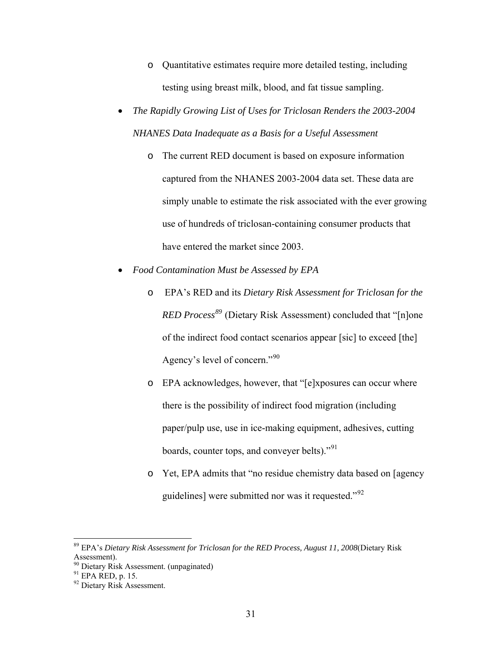- o Quantitative estimates require more detailed testing, including testing using breast milk, blood, and fat tissue sampling.
- *The Rapidly Growing List of Uses for Triclosan Renders the 2003-2004 NHANES Data Inadequate as a Basis for a Useful Assessment* 
	- o The current RED document is based on exposure information captured from the NHANES 2003-2004 data set. These data are simply unable to estimate the risk associated with the ever growing use of hundreds of triclosan-containing consumer products that have entered the market since 2003.
- *Food Contamination Must be Assessed by EPA*
	- o EPA's RED and its *Dietary Risk Assessment for Triclosan for the RED Process[89](#page-30-0)* (Dietary Risk Assessment) concluded that "[n]one of the indirect food contact scenarios appear [sic] to exceed [the] Agency's level of concern."<sup>[90](#page-30-1)</sup>
	- o EPA acknowledges, however, that "[e]xposures can occur where there is the possibility of indirect food migration (including paper/pulp use, use in ice-making equipment, adhesives, cutting boards, counter tops, and conveyer belts)."<sup>[91](#page-30-2)</sup>
	- o Yet, EPA admits that "no residue chemistry data based on [agency guidelines] were submitted nor was it requested."[92](#page-30-3)

<span id="page-30-0"></span><sup>89</sup> EPA's *Dietary Risk Assessment for Triclosan for the RED Process, August 11, 2008*(Dietary Risk Assessment).

<span id="page-30-2"></span><span id="page-30-1"></span> $^{90}$  Dietary Risk Assessment. (unpaginated)<br><sup>91</sup> EPA RED, p. 15.

<span id="page-30-3"></span><sup>&</sup>lt;sup>92</sup> Dietary Risk Assessment.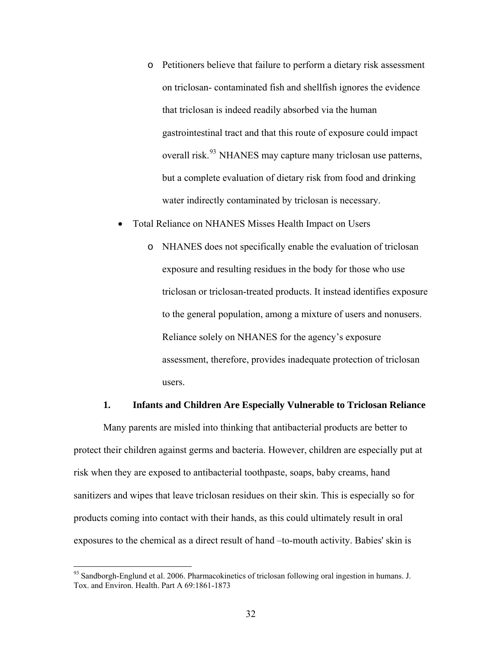- o Petitioners believe that failure to perform a dietary risk assessment on triclosan- contaminated fish and shellfish ignores the evidence that triclosan is indeed readily absorbed via the human gastrointestinal tract and that this route of exposure could impact overall risk.<sup>[93](#page-31-0)</sup> NHANES may capture many triclosan use patterns, but a complete evaluation of dietary risk from food and drinking water indirectly contaminated by triclosan is necessary.
- Total Reliance on NHANES Misses Health Impact on Users
	- o NHANES does not specifically enable the evaluation of triclosan exposure and resulting residues in the body for those who use triclosan or triclosan-treated products. It instead identifies exposure to the general population, among a mixture of users and nonusers. Reliance solely on NHANES for the agency's exposure assessment, therefore, provides inadequate protection of triclosan users.

#### **1. Infants and Children Are Especially Vulnerable to Triclosan Reliance**

Many parents are misled into thinking that antibacterial products are better to protect their children against germs and bacteria. However, children are especially put at risk when they are exposed to antibacterial toothpaste, soaps, baby creams, hand sanitizers and wipes that leave triclosan residues on their skin. This is especially so for products coming into contact with their hands, as this could ultimately result in oral exposures to the chemical as a direct result of hand –to-mouth activity. Babies' skin is

<span id="page-31-0"></span><sup>&</sup>lt;sup>93</sup> Sandborgh-Englund et al. 2006. Pharmacokinetics of triclosan following oral ingestion in humans. J. Tox. and Environ. Health. Part A 69:1861-1873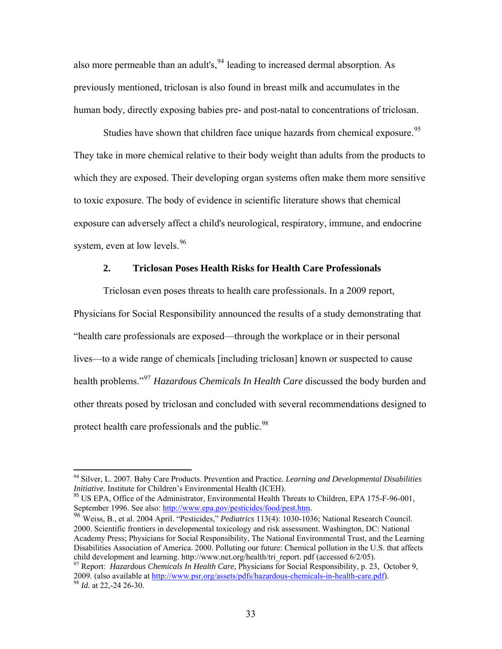also more permeable than an adult's,  $94$  leading to increased dermal absorption. As previously mentioned, triclosan is also found in breast milk and accumulates in the human body, directly exposing babies pre- and post-natal to concentrations of triclosan.

Studies have shown that children face unique hazards from chemical exposure.<sup>[95](#page-32-1)</sup> They take in more chemical relative to their body weight than adults from the products to which they are exposed. Their developing organ systems often make them more sensitive to toxic exposure. The body of evidence in scientific literature shows that chemical exposure can adversely affect a child's neurological, respiratory, immune, and endocrine system, even at low levels.<sup>[96](#page-32-2)</sup>

## **2. Triclosan Poses Health Risks for Health Care Professionals**

Triclosan even poses threats to health care professionals. In a 2009 report, Physicians for Social Responsibility announced the results of a study demonstrating that "health care professionals are exposed—through the workplace or in their personal lives—to a wide range of chemicals [including triclosan] known or suspected to cause health problems."[97](#page-32-3) *[Hazardous Chemicals In Health Care](http://www.psr.org/resources/hazardous-chemicals-in-health.html)* discussed the body burden and other threats posed by triclosan and concluded with several recommendations designed to protect health care professionals and the public.<sup>[98](#page-32-4)</sup>

<span id="page-32-0"></span><sup>94</sup> Silver, L. 2007. Baby Care Products. Prevention and Practice. *Learning and Developmental Disabilities Initiative.* Institute for Children's Environmental Health (ICEH).<br><sup>95</sup> US EPA, Office of the Administrator, Environmental Health Threats to Children, EPA 175-F-96-001,

<span id="page-32-1"></span>September 1996. See also: <http://www.epa.gov/pesticides/food/pest.htm>.<br><sup>96</sup> Weiss, B., et al. 2004 April. "Pesticides," *Pediatrics* 113(4): 1030-1036; National Research Council.

<span id="page-32-2"></span><sup>2000.</sup> Scientific frontiers in developmental toxicology and risk assessment. Washington, DC: National Academy Press; Physicians for Social Responsibility, The National Environmental Trust, and the Learning Disabilities Association of America. 2000. Polluting our future: Chemical pollution in the U.S. that affects child deve[lopment and learning. http://www.net.o](http://www.psr.org/resources/hazardous-chemicals-in-health.html)rg/health/tri\_report. pdf (accessed 6/2/05). 97 Report: *Hazardous Chemicals In Health Care,* Physicians for Social Responsibility, p. 23, October 9,

<span id="page-32-4"></span><span id="page-32-3"></span><sup>2009. (</sup>also available at [http://www.psr.org/assets/pdfs/hazardous-chemicals-in-health-care.pdf\)](http://www.psr.org/assets/pdfs/hazardous-chemicals-in-health-care.pdf). 98 *Id.* at 22,-24 26-30.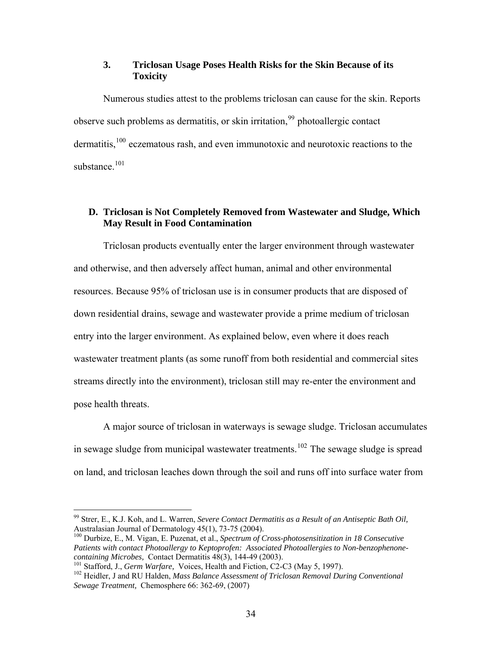# **3. Triclosan Usage Poses Health Risks for the Skin Because of its Toxicity**

Numerous studies attest to the problems triclosan can cause for the skin. Reports observe such problems as dermatitis, or skin irritation,  $99$  photoallergic contact dermatitis,<sup>[100](#page-33-1)</sup> eczematous rash, and even immunotoxic and neurotoxic reactions to the substance.<sup>[101](#page-33-2)</sup>

# **D. Triclosan is Not Completely Removed from Wastewater and Sludge, Which May Result in Food Contamination**

Triclosan products eventually enter the larger environment through wastewater and otherwise, and then adversely affect human, animal and other environmental resources. Because 95% of triclosan use is in consumer products that are disposed of down residential drains, sewage and wastewater provide a prime medium of triclosan entry into the larger environment. As explained below, even where it does reach wastewater treatment plants (as some runoff from both residential and commercial sites streams directly into the environment), triclosan still may re-enter the environment and pose health threats.

A major source of triclosan in waterways is sewage sludge. Triclosan accumulates in sewage sludge from municipal wastewater treatments.<sup>[102](#page-33-3)</sup> The sewage sludge is spread on land, and triclosan leaches down through the soil and runs off into surface water from

<span id="page-33-0"></span><sup>99</sup> Strer, E., K.J. Koh, and L. Warren, *Severe Contact Dermatitis as a Result of an Antiseptic Bath Oil,*  Australasian Journal of Dermatology 45(1), 73-75 (2004).

<span id="page-33-1"></span><sup>100</sup> Durbize, E., M. Vigan, E. Puzenat, et al., *Spectrum of Cross-photosensitization in 18 Consecutive Patients with contact Photoallergy to Keptoprofen: Associated Photoallergies to Non-benzophenone-*

<span id="page-33-3"></span><span id="page-33-2"></span> $^{101}$  Stafford, J., Germ Warfare, Voices, Health and Fiction, C2-C3 (May 5, 1997).<br> $^{102}$  Heidler, J and RU Halden, *Mass Balance Assessment of Triclosan Removal During Conventional Sewage Treatment,* Chemosphere 66: 362-69, (2007)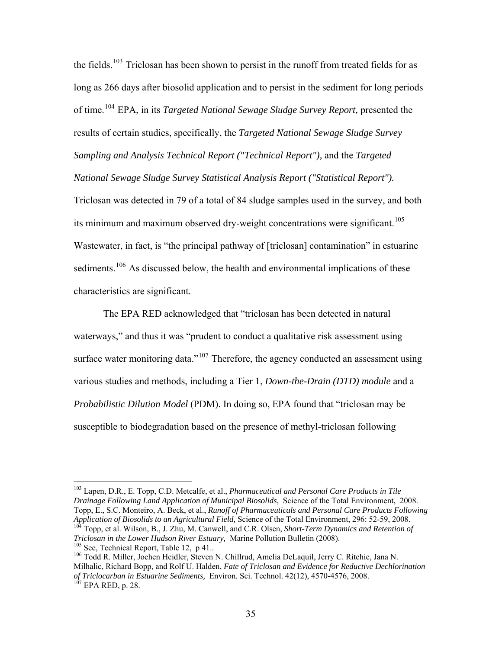the fields.<sup>[103](#page-34-0)</sup> Triclosan has been shown to persist in the runoff from treated fields for as long as 266 days after biosolid application and to persist in the sediment for long periods of time.[104](#page-34-1) EPA, in its *Targeted National Sewage Sludge Survey Report,* presented the results of certain studies, specifically, the *[Targeted National Sewage Sludge Survey](http://www.epa.gov/waterscience/biosolids/tnsss-tech.pdf)  [Sampling and Analysis Technical Report \("Technical Report"\),](http://www.epa.gov/waterscience/biosolids/tnsss-tech.pdf)* and the *Targeted [National Sewage Sludge Survey Statistical Analysis Report \("Statistical Report"\).](http://www.epa.gov/waterscience/biosolids/tnsss-tech.pdf)*  [Triclosan was detected in 79 of a total of 84 sludge samples used in the survey, and both](http://www.epa.gov/waterscience/biosolids/tnsss-tech.pdf)  [its minimum and maximum observed dry-weight concentrations were significant.](http://www.epa.gov/waterscience/biosolids/tnsss-tech.pdf)<sup>105</sup> [Wastewater, in fact, is "the principal pathway of \[triclosan\] contamination" in estuarine](#page-34-2)  [sediments.](#page-34-2)<sup>106</sup> As discussed below, the health and environmental implications of these

characteristics are significant.

 $\overline{a}$ 

The EPA RED acknowledged that "triclosan has been detected in natural waterways," and thus it was "prudent to conduct a qualitative risk assessment using surface water monitoring data."<sup>[107](#page-34-3)</sup> Therefore, the agency conducted an assessment using various studies and methods, including a Tier 1, *Down-the-Drain (DTD) module* and a *Probabilistic Dilution Model* (PDM). In doing so, EPA found that "triclosan may be susceptible to biodegradation based on the presence of methyl-triclosan following

<span id="page-34-0"></span><sup>103</sup> Lapen, D.R., E. Topp, C.D. Metcalfe, et al., *Pharmaceutical and Personal Care Products in Tile Drainage Following Land Application of Municipal Biosolids,* Science of the Total Environment, 2008. Topp, E., S.C. Monteiro, A. Beck, et al., *Runoff of Pharmaceuticals and Personal Care Products Following* 

<span id="page-34-1"></span><sup>&</sup>lt;sup>104</sup> Topp, et al. Wilson, B., J. Zhu, M. Canwell, and C.R. Olsen, *Short-Term Dynamics and Retention of Triclosan in the Lower Hudson River Estuary*, Marine Pollution Bulletin (2008).

<span id="page-34-3"></span><span id="page-34-2"></span><sup>&</sup>lt;sup>105</sup> See, Technical Report, Table 12, p 41..<br><sup>106</sup> Todd R. Miller, Jochen Heidler, Steven N. Chillrud, Amelia DeLaquil, Jerry C. Ritchie, Jana N. Milhalic, Richard Bopp, and Rolf U. Halden, *Fate of Triclosan and Evidence for Reductive Dechlorination of Triclocarban in Estuarine Sediments, Environ. Sci. Technol. 42(12), 4570-4576, 2008.* <sup>107</sup> EPA RED, p. 28.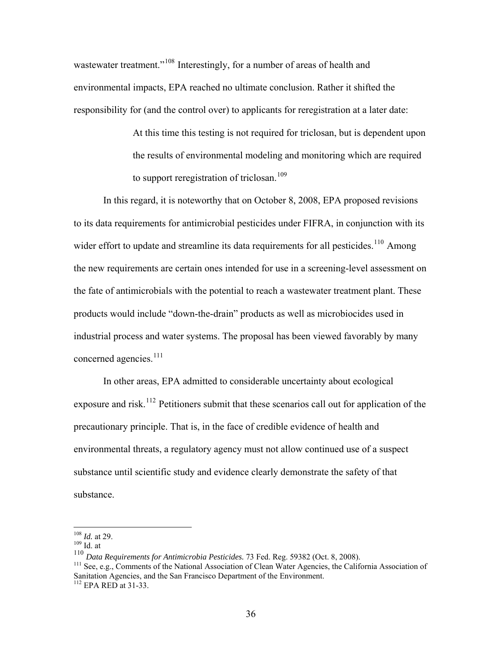wastewater treatment."<sup>[108](#page-35-0)</sup> Interestingly, for a number of areas of health and environmental impacts, EPA reached no ultimate conclusion. Rather it shifted the responsibility for (and the control over) to applicants for reregistration at a later date:

> At this time this testing is not required for triclosan, but is dependent upon the results of environmental modeling and monitoring which are required to support reregistration of triclosan.<sup>[109](#page-35-1)</sup>

 In this regard, it is noteworthy that on October 8, 2008, EPA proposed revisions to its data requirements for antimicrobial pesticides under FIFRA, in conjunction with its wider effort to update and streamline its data requirements for all pesticides.<sup>[110](#page-35-2)</sup> Among the new requirements are certain ones intended for use in a screening-level assessment on the fate of antimicrobials with the potential to reach a wastewater treatment plant. These products would include "down-the-drain" products as well as microbiocides used in industrial process and water systems. The proposal has been viewed favorably by many concerned agencies.<sup>[111](#page-35-3)</sup>

 In other areas, EPA admitted to considerable uncertainty about ecological exposure and risk.<sup>[112](#page-35-4)</sup> Petitioners submit that these scenarios call out for application of the precautionary principle. That is, in the face of credible evidence of health and environmental threats, a regulatory agency must not allow continued use of a suspect substance until scientific study and evidence clearly demonstrate the safety of that substance.

<span id="page-35-1"></span><span id="page-35-0"></span><sup>&</sup>lt;sup>108</sup> *Id.* at 29.<br><sup>109</sup> Id. at<br><sup>110</sup> Data Reauirements for Antimicrobia Pesticides. 73 Fed. Reg. 59382 (Oct. 8, 2008).

<span id="page-35-4"></span><span id="page-35-3"></span><span id="page-35-2"></span><sup>&</sup>lt;sup>111</sup> See, e.g., Comments of the National Association of Clean Water Agencies, the California Association of Sanitation Agencies, and the San Francisco Department of the Environment. 112 EPA RED at 31-33.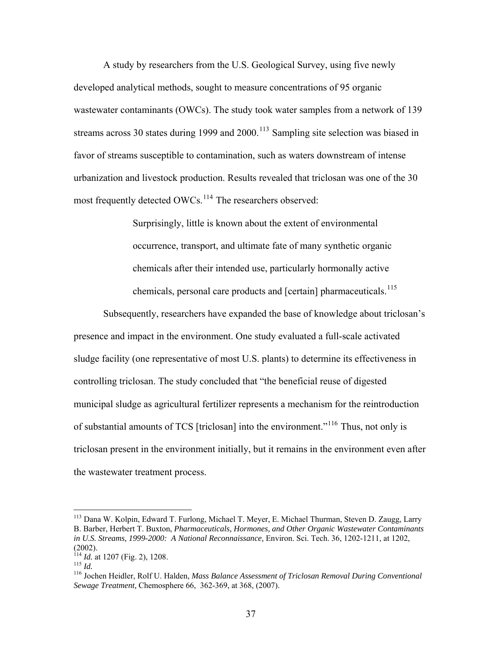A study by researchers from the U.S. Geological Survey, using five newly developed analytical methods, sought to measure concentrations of 95 organic wastewater contaminants (OWCs). The study took water samples from a network of 139 streams across 30 states during 1999 and  $2000$ .<sup>[113](#page-36-0)</sup> Sampling site selection was biased in favor of streams susceptible to contamination, such as waters downstream of intense urbanization and livestock production. Results revealed that triclosan was one of the 30 most frequently detected OWCs.<sup>[114](#page-36-1)</sup> The researchers observed:

> Surprisingly, little is known about the extent of environmental occurrence, transport, and ultimate fate of many synthetic organic chemicals after their intended use, particularly hormonally active chemicals, personal care products and [certain] pharmaceuticals.<sup>[115](#page-36-2)</sup>

 Subsequently, researchers have expanded the base of knowledge about triclosan's presence and impact in the environment. One study evaluated a full-scale activated sludge facility (one representative of most U.S. plants) to determine its effectiveness in controlling triclosan. The study concluded that "the beneficial reuse of digested municipal sludge as agricultural fertilizer represents a mechanism for the reintroduction of substantial amounts of TCS [triclosan] into the environment."[116](#page-36-3) Thus, not only is triclosan present in the environment initially, but it remains in the environment even after the wastewater treatment process.

<span id="page-36-0"></span><sup>113</sup> Dana W. Kolpin, Edward T. Furlong, Michael T. Meyer, E. Michael Thurman, Steven D. Zaugg, Larry B. Barber, Herbert T. Buxton, *Pharmaceuticals, Hormones, and Other Organic Wastewater Contaminants in U.S. Streams, 1999-2000: A National Reconnaissance,* Environ. Sci. Tech. 36, 1202-1211, at 1202,

<sup>(2002).&</sup>lt;br><sup>114</sup> Id. at 1207 (Fig. 2), 1208.

<span id="page-36-3"></span><span id="page-36-2"></span>

<span id="page-36-1"></span><sup>115</sup> *Id.* at 1207 (Fig. 2), 1200.<br><sup>115</sup> *Id.* 116 Jochen Heidler, Rolf U. Halden, *Mass Balance Assessment of Triclosan Removal During Conventional Sewage Treatment,* Chemosphere 66, 362-369, at 368, (2007).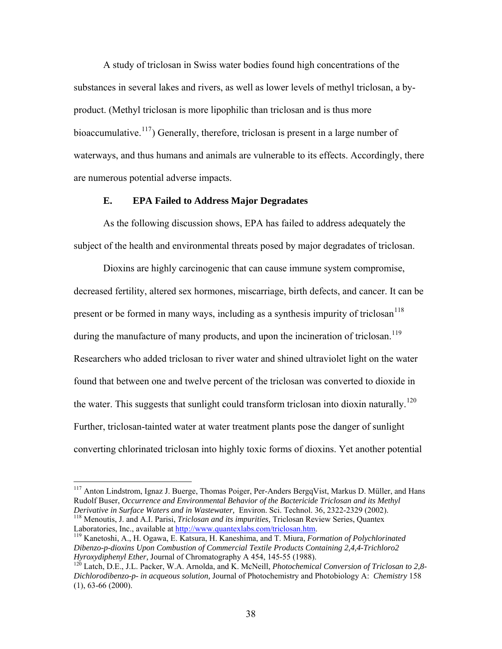A study of triclosan in Swiss water bodies found high concentrations of the substances in several lakes and rivers, as well as lower levels of methyl triclosan, a byproduct. (Methyl triclosan is more lipophilic than triclosan and is thus more bioaccumulative.<sup>[117](#page-37-0)</sup>) Generally, therefore, triclosan is present in a large number of waterways, and thus humans and animals are vulnerable to its effects. Accordingly, there are numerous potential adverse impacts.

## **E. EPA Failed to Address Major Degradates**

As the following discussion shows, EPA has failed to address adequately the subject of the health and environmental threats posed by major degradates of triclosan.

Dioxins are highly carcinogenic that can cause immune system compromise, decreased fertility, altered sex hormones, miscarriage, birth defects, and cancer. It can be present or be formed in many ways, including as a synthesis impurity of triclosan<sup>[118](#page-37-1)</sup> during the manufacture of many products, and upon the incineration of triclosan.<sup>[119](#page-37-2)</sup> Researchers who added triclosan to river water and shined ultraviolet light on the water found that between one and twelve percent of the triclosan was converted to dioxide in the water. This suggests that sunlight could transform triclosan into dioxin naturally.<sup>[120](#page-37-3)</sup> Further, triclosan-tainted water at water treatment plants pose the danger of sunlight converting chlorinated triclosan into highly toxic forms of dioxins. Yet another potential

<span id="page-37-1"></span><sup>118</sup> Menoutis, J. and A.I. Parisi, *Triclosan and its impurities*, Triclosan Review Series, Quantex Laboratories, Inc., available at http://www.quantexlabs.com/triclosan.htm.

1

<span id="page-37-2"></span><sup>119</sup> Kanetoshi, A., H. Ogawa, E. Katsura, H. Kaneshima, and T. Miura, *Formation of Polychlorinated Dibenzo-p-dioxins Upon Combustion of Commercial Textile Products Containing 2,4,4-Trichloro2 Hyroxydiphenyl Ether, Journal of Chromatography A 454, 145-55 (1988).*<br><sup>120</sup> Latch, D.E., J.L. Packer, W.A. Arnolda, and K. McNeill, *Photochemical Conversion of Triclosan to 2,8-*

<span id="page-37-0"></span><sup>&</sup>lt;sup>117</sup> Anton Lindstrom, Ignaz J. Buerge, Thomas Poiger, Per-Anders BergqVist, Markus D. Müller, and Hans Rudolf Buser, *Occurrence and Environmental Behavior of the Bactericide Triclosan and its Methyl* 

<span id="page-37-3"></span>*Dichlorodibenzo-p- in acqueous solution,* Journal of Photochemistry and Photobiology A: *Chemistry* 158 (1), 63-66 (2000).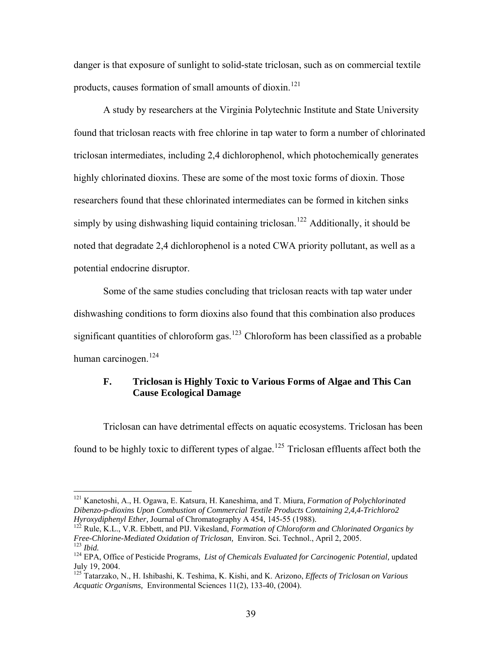danger is that exposure of sunlight to solid-state triclosan, such as on commercial textile products, causes formation of small amounts of dioxin.<sup>[121](#page-38-0)</sup>

 A study by researchers at the Virginia Polytechnic Institute and State University found that triclosan reacts with free chlorine in tap water to form a number of chlorinated triclosan intermediates, including 2,4 dichlorophenol, which photochemically generates highly chlorinated dioxins. These are some of the most toxic forms of dioxin. Those researchers found that these chlorinated intermediates can be formed in kitchen sinks simply by using dishwashing liquid containing triclosan.<sup>[122](#page-38-1)</sup> Additionally, it should be noted that degradate 2,4 dichlorophenol is a noted CWA priority pollutant, as well as a potential endocrine disruptor.

 Some of the same studies concluding that triclosan reacts with tap water under dishwashing conditions to form dioxins also found that this combination also produces significant quantities of chloroform gas.<sup>[123](#page-38-2)</sup> Chloroform has been classified as a probable human carcinogen.<sup>[124](#page-38-3)</sup>

# **F. Triclosan is Highly Toxic to Various Forms of Algae and This Can Cause Ecological Damage**

Triclosan can have detrimental effects on aquatic ecosystems. Triclosan has been found to be highly toxic to different types of algae.<sup>[125](#page-38-4)</sup> Triclosan effluents affect both the

<span id="page-38-0"></span><sup>121</sup> Kanetoshi, A., H. Ogawa, E. Katsura, H. Kaneshima, and T. Miura, *Formation of Polychlorinated Dibenzo-p-dioxins Upon Combustion of Commercial Textile Products Containing 2,4,4-Trichloro2* 

<span id="page-38-1"></span>*Hyroxydiphenyl Ether, Journal of Chromatography A 454, 145-55 (1988).*<br><sup>122</sup> Rule, K.L., V.R. Ebbett, and PlJ. Vikesland, *Formation of Chloroform and Chlorinated Organics by Free-Chlorine-Mediated Oxidation of Triclosa* 

<span id="page-38-3"></span><span id="page-38-2"></span><sup>&</sup>lt;sup>123</sup> Ibid.<br><sup>124</sup> EPA, Office of Pesticide Programs, *List of Chemicals Evaluated for Carcinogenic Potential*, updated July 19, 2004.

<span id="page-38-4"></span><sup>125</sup> Tatarzako, N., H. Ishibashi, K. Teshima, K. Kishi, and K. Arizono, *Effects of Triclosan on Various Acquatic Organisms,* Environmental Sciences 11(2), 133-40, (2004).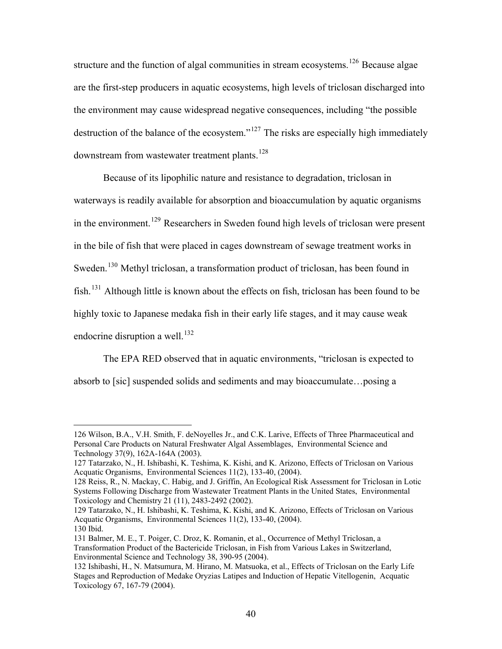structure and the function of algal communities in stream ecosystems.<sup>[126](#page-39-0)</sup> Because algae are the first-step producers in aquatic ecosystems, high levels of triclosan discharged into the environment may cause widespread negative consequences, including "the possible destruction of the balance of the ecosystem."[127](#page-39-1) The risks are especially high immediately downstream from wastewater treatment plants.<sup>[128](#page-39-2)</sup>

 Because of its lipophilic nature and resistance to degradation, triclosan in waterways is readily available for absorption and bioaccumulation by aquatic organisms in the environment.<sup>[129](#page-39-3)</sup> Researchers in Sweden found high levels of triclosan were present in the bile of fish that were placed in cages downstream of sewage treatment works in Sweden.<sup>[130](#page-39-4)</sup> Methyl triclosan, a transformation product of triclosan, has been found in fish.<sup>[131](#page-39-5)</sup> Although little is known about the effects on fish, triclosan has been found to be highly toxic to Japanese medaka fish in their early life stages, and it may cause weak endocrine disruption a well.<sup>[132](#page-39-6)</sup>

 The EPA RED observed that in aquatic environments, "triclosan is expected to absorb to [sic] suspended solids and sediments and may bioaccumulate…posing a

<span id="page-39-0"></span><sup>126</sup> Wilson, B.A., V.H. Smith, F. deNoyelles Jr., and C.K. Larive, Effects of Three Pharmaceutical and Personal Care Products on Natural Freshwater Algal Assemblages, Environmental Science and Technology 37(9), 162A-164A (2003).

<span id="page-39-1"></span><sup>127</sup> Tatarzako, N., H. Ishibashi, K. Teshima, K. Kishi, and K. Arizono, Effects of Triclosan on Various Acquatic Organisms, Environmental Sciences 11(2), 133-40, (2004).

<span id="page-39-2"></span><sup>128</sup> Reiss, R., N. Mackay, C. Habig, and J. Griffin, An Ecological Risk Assessment for Triclosan in Lotic Systems Following Discharge from Wastewater Treatment Plants in the United States, Environmental Toxicology and Chemistry 21 (11), 2483-2492 (2002).

<span id="page-39-3"></span><sup>129</sup> Tatarzako, N., H. Ishibashi, K. Teshima, K. Kishi, and K. Arizono, Effects of Triclosan on Various Acquatic Organisms, Environmental Sciences 11(2), 133-40, (2004). 130 Ibid.

<span id="page-39-5"></span><span id="page-39-4"></span><sup>131</sup> Balmer, M. E., T. Poiger, C. Droz, K. Romanin, et al., Occurrence of Methyl Triclosan, a Transformation Product of the Bactericide Triclosan, in Fish from Various Lakes in Switzerland, Environmental Science and Technology 38, 390-95 (2004).

<span id="page-39-6"></span><sup>132</sup> Ishibashi, H., N. Matsumura, M. Hirano, M. Matsuoka, et al., Effects of Triclosan on the Early Life Stages and Reproduction of Medake Oryzias Latipes and Induction of Hepatic Vitellogenin, Acquatic Toxicology 67, 167-79 (2004).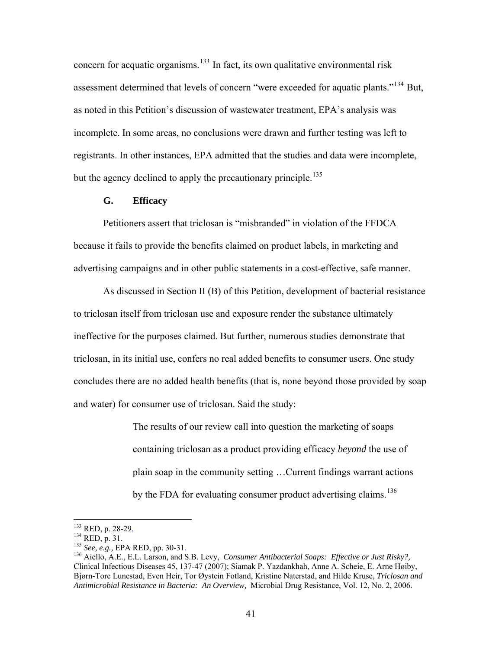concern for acquatic organisms.<sup>[133](#page-40-0)</sup> In fact, its own qualitative environmental risk assessment determined that levels of concern "were exceeded for aquatic plants."<sup>[134](#page-40-1)</sup> But, as noted in this Petition's discussion of wastewater treatment, EPA's analysis was incomplete. In some areas, no conclusions were drawn and further testing was left to registrants. In other instances, EPA admitted that the studies and data were incomplete, but the agency declined to apply the precautionary principle.<sup>[135](#page-40-2)</sup>

# **G. Efficacy**

Petitioners assert that triclosan is "misbranded" in violation of the FFDCA because it fails to provide the benefits claimed on product labels, in marketing and advertising campaigns and in other public statements in a cost-effective, safe manner.

 As discussed in Section II (B) of this Petition, development of bacterial resistance to triclosan itself from triclosan use and exposure render the substance ultimately ineffective for the purposes claimed. But further, numerous studies demonstrate that triclosan, in its initial use, confers no real added benefits to consumer users. One study concludes there are no added health benefits (that is, none beyond those provided by soap and water) for consumer use of triclosan. Said the study:

> The results of our review call into question the marketing of soaps containing triclosan as a product providing efficacy *beyond* the use of plain soap in the community setting …Current findings warrant actions by the FDA for evaluating consumer product advertising claims.<sup>[136](#page-40-3)</sup>

<span id="page-40-0"></span><sup>&</sup>lt;sup>133</sup> RED, p. 28-29.

<span id="page-40-3"></span>

<span id="page-40-2"></span><span id="page-40-1"></span><sup>&</sup>lt;sup>134</sup> RED, p. 31.<br><sup>135</sup> *See, e.g., EPA RED, pp. 30-31.*<br><sup>136</sup> Aiello, A.E., E.L. Larson, and S.B. Levy, *Consumer Antibacterial Soaps: Effective or Just Risky?,* Clinical Infectious Diseases 45, 137-47 (2007); Siamak P. Yazdankhah, Anne A. Scheie, E. Arne Høiby, Bjørn-Tore Lunestad, Even Heir, Tor Øystein Fotland, Kristine Naterstad, and Hilde Kruse, *Triclosan and Antimicrobial Resistance in Bacteria: An Overview,* Microbial Drug Resistance, Vol. 12, No. 2, 2006.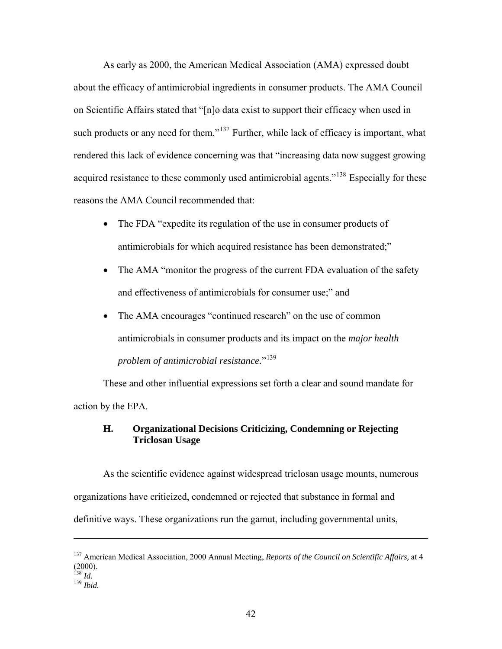As early as 2000, the American Medical Association (AMA) expressed doubt about the efficacy of antimicrobial ingredients in consumer products. The AMA Council on Scientific Affairs stated that "[n]o data exist to support their efficacy when used in such products or any need for them."<sup>[137](#page-41-0)</sup> Further, while lack of efficacy is important, what rendered this lack of evidence concerning was that "increasing data now suggest growing acquired resistance to these commonly used antimicrobial agents."<sup>[138](#page-41-1)</sup> Especially for these reasons the AMA Council recommended that:

- The FDA "expedite its regulation of the use in consumer products of antimicrobials for which acquired resistance has been demonstrated;"
- The AMA "monitor the progress of the current FDA evaluation of the safety and effectiveness of antimicrobials for consumer use;" and
- The AMA encourages "continued research" on the use of common antimicrobials in consumer products and its impact on the *major health problem of antimicrobial resistance.*"[139](#page-41-2)

 These and other influential expressions set forth a clear and sound mandate for action by the EPA.

# **H. Organizational Decisions Criticizing, Condemning or Rejecting Triclosan Usage**

As the scientific evidence against widespread triclosan usage mounts, numerous organizations have criticized, condemned or rejected that substance in formal and definitive ways. These organizations run the gamut, including governmental units,

<span id="page-41-0"></span><sup>137</sup> American Medical Association, 2000 Annual Meeting, *Reports of the Council on Scientific Affairs,* at 4  $(2000).$ <sup>138</sup> *Id.* 

<span id="page-41-2"></span><span id="page-41-1"></span><sup>138</sup> *Id.* <sup>139</sup> *Ibid.*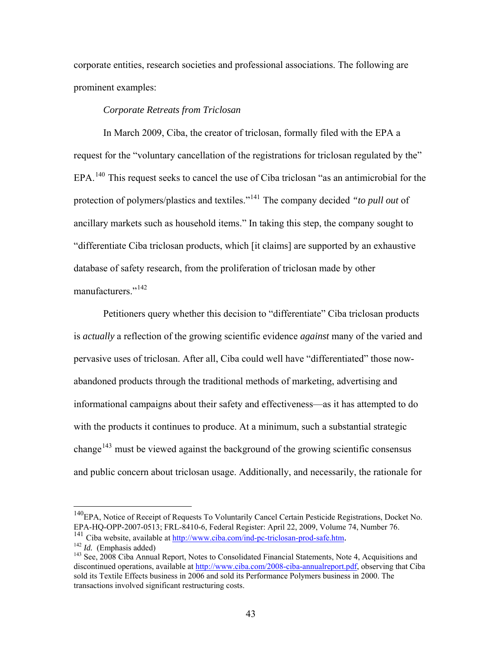corporate entities, research societies and professional associations. The following are prominent examples:

## *Corporate Retreats from Triclosan*

 In March 2009, Ciba, the creator of triclosan, formally filed with the EPA a request for the "voluntary cancellation of the registrations for triclosan regulated by the" EPA.<sup>[140](#page-42-0)</sup> This request seeks to cancel the use of Ciba triclosan "as an antimicrobial for the protection of polymers/plastics and textiles."[141](#page-42-1) The company decided *"to pull out* of ancillary markets such as household items." In taking this step, the company sought to "differentiate Ciba triclosan products, which [it claims] are supported by an exhaustive database of safety research, from the proliferation of triclosan made by other manufacturers."<sup>[142](#page-42-2)</sup>

 Petitioners query whether this decision to "differentiate" Ciba triclosan products is *actually* a reflection of the growing scientific evidence *against* many of the varied and pervasive uses of triclosan. After all, Ciba could well have "differentiated" those nowabandoned products through the traditional methods of marketing, advertising and informational campaigns about their safety and effectiveness—as it has attempted to do with the products it continues to produce. At a minimum, such a substantial strategic change<sup>[143](#page-42-3)</sup> must be viewed against the background of the growing scientific consensus and public concern about triclosan usage. Additionally, and necessarily, the rationale for

<span id="page-42-0"></span><sup>&</sup>lt;sup>140</sup>EPA, Notice of Receipt of Requests To Voluntarily Cancel Certain Pesticide Registrations, Docket No. EPA-HQ-OPP-2007-0513; FRL-8410-6, Federal Register: April 22, 2009, Volume 74, Number 76.

<span id="page-42-3"></span>

<span id="page-42-2"></span><span id="page-42-1"></span><sup>&</sup>lt;sup>141</sup> Ciba website, available at <u>http://www.ciba.com/ind-pc-triclosan-prod-safe.htm</u>.<br><sup>142</sup> *Id.* (Emphasis added) <sup>143</sup> See, 2008 Ciba Annual Report, Notes to Consolidated Financial Statements, Note 4, Acquisitions and discontinued operations, available at <http://www.ciba.com/2008-ciba-annualreport.pdf>, observing that Ciba sold its Textile Effects business in 2006 and sold its Performance Polymers business in 2000. The transactions involved significant restructuring costs.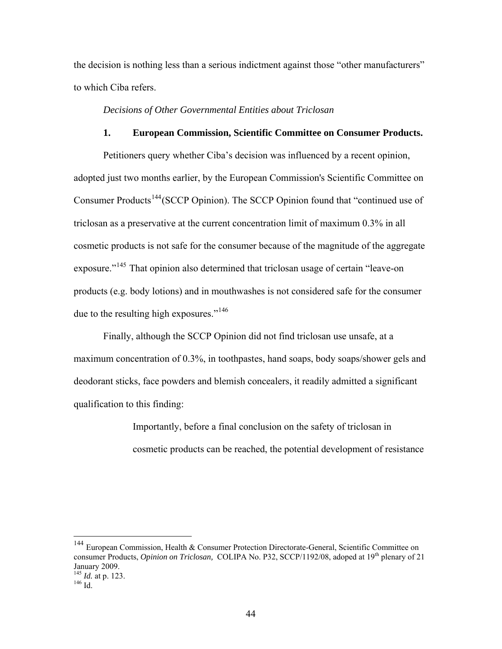the decision is nothing less than a serious indictment against those "other manufacturers" to which Ciba refers.

## *Decisions of Other Governmental Entities about Triclosan*

## **1. European Commission, Scientific Committee on Consumer Products.**

Petitioners query whether Ciba's decision was influenced by a recent opinion, adopted just two months earlier, by the European Commission's Scientific Committee on Consumer Products<sup>[144](#page-43-0)</sup> (SCCP Opinion). The SCCP Opinion found that "continued use of triclosan as a preservative at the current concentration limit of maximum 0.3% in all cosmetic products is not safe for the consumer because of the magnitude of the aggregate exposure."<sup>[145](#page-43-1)</sup> That opinion also determined that triclosan usage of certain "leave-on" products (e.g. body lotions) and in mouthwashes is not considered safe for the consumer due to the resulting high exposures."<sup>[146](#page-43-2)</sup>

 Finally, although the SCCP Opinion did not find triclosan use unsafe, at a maximum concentration of 0.3%, in toothpastes, hand soaps, body soaps/shower gels and deodorant sticks, face powders and blemish concealers, it readily admitted a significant qualification to this finding:

> Importantly, before a final conclusion on the safety of triclosan in cosmetic products can be reached, the potential development of resistance

<span id="page-43-0"></span><sup>144</sup> European Commission, Health & Consumer Protection Directorate-General, Scientific Committee on consumer Products, *Opinion on Triclosan*, COLIPA No. P32, SCCP/1192/08, adoped at 19<sup>th</sup> plenary of 21 January 2009. <sup>145</sup> *Id.* at p. 123.<br><sup>146</sup> Id.

<span id="page-43-2"></span><span id="page-43-1"></span>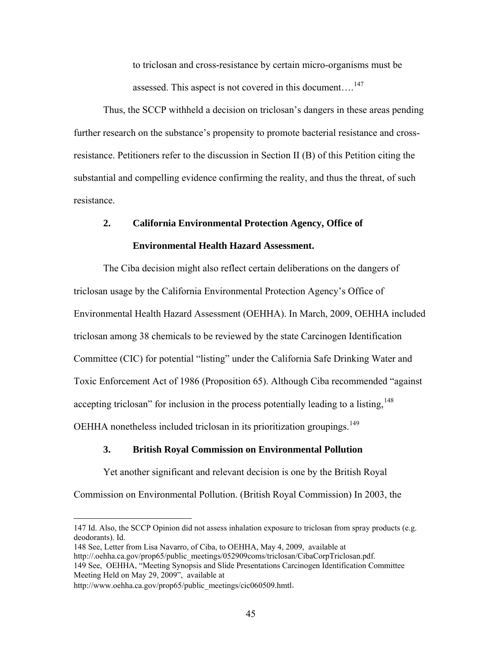to triclosan and cross-resistance by certain micro-organisms must be assessed. This aspect is not covered in this document....<sup>[147](#page-44-0)</sup>

Thus, the SCCP withheld a decision on triclosan's dangers in these areas pending further research on the substance's propensity to promote bacterial resistance and crossresistance. Petitioners refer to the discussion in Section II (B) of this Petition citing the substantial and compelling evidence confirming the reality, and thus the threat, of such resistance.

## **2. California Environmental Protection Agency, Office of**

#### **Environmental Health Hazard Assessment.**

The Ciba decision might also reflect certain deliberations on the dangers of triclosan usage by the California Environmental Protection Agency's Office of Environmental Health Hazard Assessment (OEHHA). In March, 2009, OEHHA included triclosan among 38 chemicals to be reviewed by the state Carcinogen Identification Committee (CIC) for potential "listing" under the California Safe Drinking Water and Toxic Enforcement Act of 1986 (Proposition 65). Although Ciba recommended "against accepting triclosan" for inclusion in the process potentially leading to a listing,  $148$ OEHHA nonetheless included triclosan in its prioritization groupings.<sup>[149](#page-44-2)</sup>

## **3. British Royal Commission on Environmental Pollution**

Yet another significant and relevant decision is one by the British Royal

Commission on Environmental Pollution. (British Royal Commission) In 2003, the

<u>.</u>

<span id="page-44-0"></span><sup>147</sup> Id. Also, the SCCP Opinion did not assess inhalation exposure to triclosan from spray products (e.g. deodorants). Id.

<span id="page-44-1"></span><sup>148</sup> See, Letter from Lisa Navarro, of Ciba, to OEHHA, May 4, 2009, available at

[http://.oehha.ca.gov/prop65/public\\_meetings/052909coms/triclosan/CibaCorpTriclosan.pdf.](http://.oehha.ca.gov/prop65/public_meetings/052909coms/triclosan/CibaCorpTriclosan.pdf)

<span id="page-44-2"></span><sup>149</sup> See, OEHHA, "Meeting Synopsis and Slide Presentations Carcinogen Identification Committee Meeting Held on May 29, 2009", available at

[http://www.oehha.ca.gov/prop65/public\\_meetings/cic060509.hmtl](http://www.oehha.ca.gov/prop65/public_meetings/cic060509.hmtl).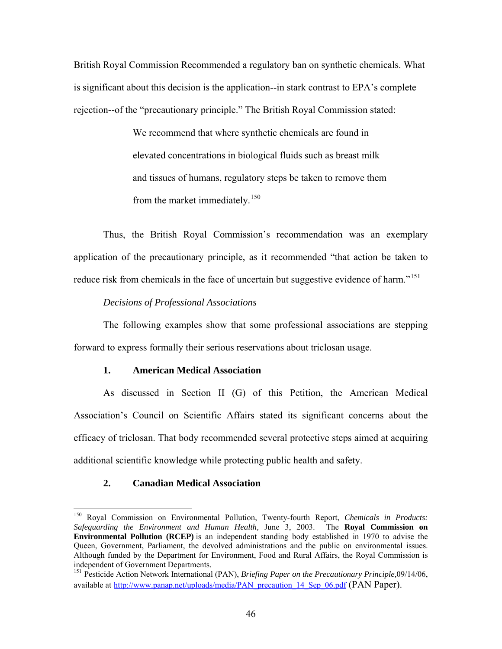British Royal Commission Recommended a regulatory ban on synthetic chemicals. What is significant about this decision is the application--in stark contrast to EPA's complete rejection--of the "precautionary principle." The British Royal Commission stated:

> We recommend that where synthetic chemicals are found in elevated concentrations in biological fluids such as breast milk and tissues of humans, regulatory steps be taken to remove them from the market immediately.<sup>[150](#page-45-0)</sup>

Thus, the British Royal Commission's recommendation was an exemplary application of the precautionary principle, as it recommended "that action be taken to reduce risk from chemicals in the face of uncertain but suggestive evidence of harm."<sup>[151](#page-45-1)</sup>

*Decisions of Professional Associations* 

 The following examples show that some professional associations are stepping forward to express formally their serious reservations about triclosan usage.

## **1. American Medical Association**

As discussed in Section II (G) of this Petition, the American Medical Association's Council on Scientific Affairs stated its significant concerns about the efficacy of triclosan. That body recommended several protective steps aimed at acquiring additional scientific knowledge while protecting public health and safety.

## **2. Canadian Medical Association**

<span id="page-45-0"></span><sup>150</sup> Royal Commission on Environmental Pollution, Twenty-fourth Report, *Chemicals in Products: Safeguarding the Environment and Human Health,* June 3, 2003. The **Royal Commission on Environmental Pollution (RCEP)** is an independent standing body established in 1970 to advise the Queen, Government, Parliament, the devolved administrations and the public on environmental issues. Although funded by the Department for Environment, Food and Rural Affairs, the Royal Commission is independent of Government Departments.

<span id="page-45-1"></span><sup>151</sup> Pesticide Action Network International (PAN), *Briefing Paper on the Precautionary Principle,*09/14/06, available at [http://www.panap.net/uploads/media/PAN\\_precaution\\_14\\_Sep\\_06.pdf](http://www.panap.net/uploads/media/PAN_precaution_14_Sep_06.pdf) (PAN Paper).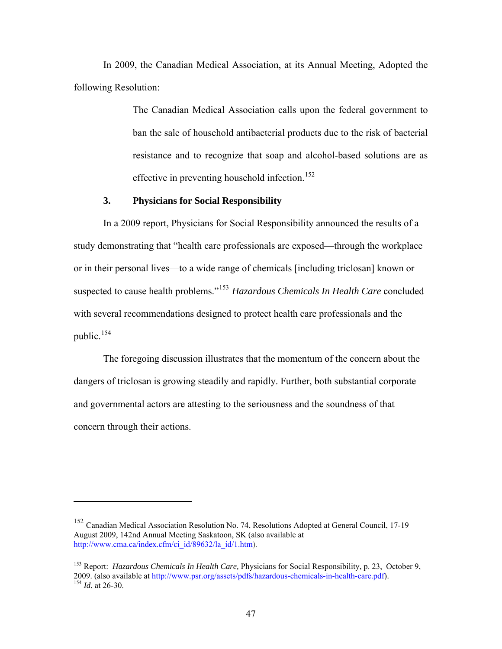In 2009, the Canadian Medical Association, at its Annual Meeting, Adopted the following Resolution:

> The Canadian Medical Association calls upon the federal government to ban the sale of household antibacterial products due to the risk of bacterial resistance and to recognize that soap and alcohol-based solutions are as effective in preventing household infection.<sup>[152](#page-46-0)</sup>

# **3. Physicians for Social Responsibility**

In a 2009 report, Physicians for Social Responsibility announced the results of a study demonstrating that "health care professionals are exposed—through the workplace or in their personal lives—to a wide range of chemicals [including triclosan] known or suspected to cause health problems."[153](#page-46-1) *[Hazardous Chemicals In Health Care](http://www.psr.org/resources/hazardous-chemicals-in-health.html)* concluded with several recommendations designed to protect health care professionals and the public. $154$ 

 The foregoing discussion illustrates that the momentum of the concern about the dangers of triclosan is growing steadily and rapidly. Further, both substantial corporate and governmental actors are attesting to the seriousness and the soundness of that concern through their actions.

<span id="page-46-0"></span><sup>152</sup> Canadian Medical Association Resolution No. 74, Resolutions Adopted at General Council, 17-19 August 2009, 142nd Annual Meeting Saskatoon, SK (also available at [http://www.cma.ca/index.cfm/ci\\_id/89632/la\\_id/1.htm](http://www.cma.ca/index.cfm/ci_id/89632/la_id/1.htm)).

<span id="page-46-2"></span><span id="page-46-1"></span><sup>153</sup> Report: *[Hazardous Chemicals In Health Care,](http://www.psr.org/resources/hazardous-chemicals-in-health.html)* Physicians for Social Responsibility, p. 23, October 9, 2009. (also available at [http://www.psr.org/assets/pdfs/hazardous-chemicals-in-health-care.pdf\)](http://www.psr.org/assets/pdfs/hazardous-chemicals-in-health-care.pdf). 154 *Id.* at 26-30.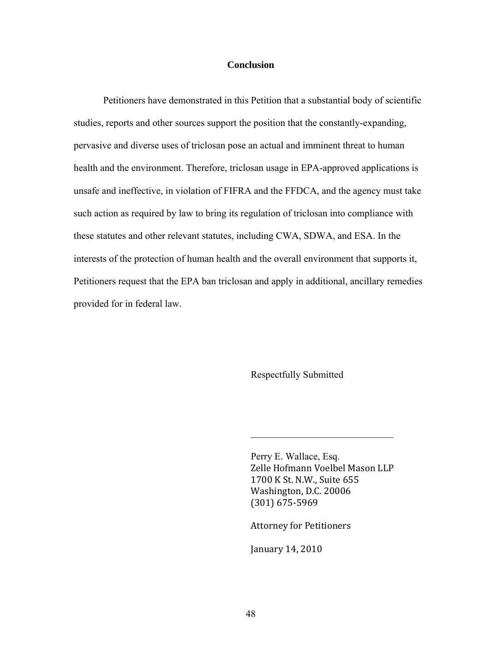# **Conclusion**

Petitioners have demonstrated in this Petition that a substantial body of scientific studies, reports and other sources support the position that the constantly-expanding, pervasive and diverse uses of triclosan pose an actual and imminent threat to human health and the environment. Therefore, triclosan usage in EPA-approved applications is unsafe and ineffective, in violation of FIFRA and the FFDCA, and the agency must take such action as required by law to bring its regulation of triclosan into compliance with these statutes and other relevant statutes, including CWA, SDWA, and ESA. In the interests of the protection of human health and the overall environment that supports it, Petitioners request that the EPA ban triclosan and apply in additional, ancillary remedies provided for in federal law.

Respectfully Submitted

 Perry E. Wallace, Esq. Zelle Hofmann Voelbel Mason LLP 1700 K St. N.W., Suite 655 Washington, D.C. 20006 (301) 675‐5969

 $\mathcal{L}_\text{max}$  , where  $\mathcal{L}_\text{max}$  and  $\mathcal{L}_\text{max}$  and  $\mathcal{L}_\text{max}$ 

Attorney for Petitioners

January 14, 2010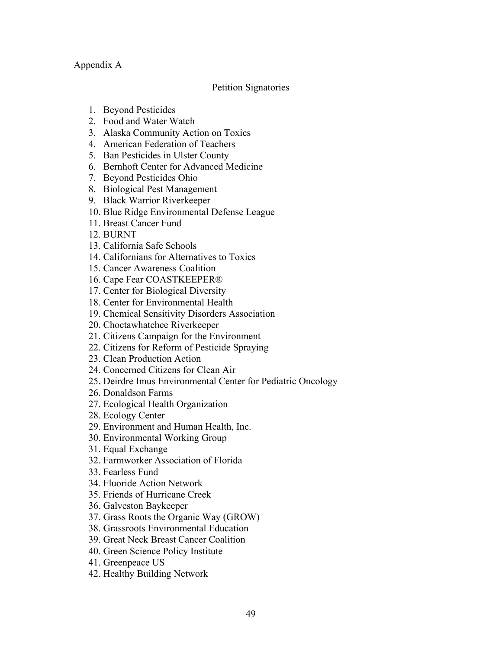# Appendix A

# Petition Signatories

- 1. Beyond Pesticides
- 2. Food and Water Watch
- 3. Alaska Community Action on Toxics
- 4. American Federation of Teachers
- 5. Ban Pesticides in Ulster County
- 6. Bernhoft Center for Advanced Medicine
- 7. Beyond Pesticides Ohio
- 8. Biological Pest Management
- 9. Black Warrior Riverkeeper
- 10. Blue Ridge Environmental Defense League
- 11. Breast Cancer Fund
- 12. BURNT
- 13. California Safe Schools
- 14. Californians for Alternatives to Toxics
- 15. Cancer Awareness Coalition
- 16. Cape Fear COASTKEEPER®
- 17. Center for Biological Diversity
- 18. Center for Environmental Health
- 19. Chemical Sensitivity Disorders Association
- 20. Choctawhatchee Riverkeeper
- 21. Citizens Campaign for the Environment
- 22. Citizens for Reform of Pesticide Spraying
- 23. Clean Production Action
- 24. Concerned Citizens for Clean Air
- 25. Deirdre Imus Environmental Center for Pediatric Oncology
- 26. Donaldson Farms
- 27. Ecological Health Organization
- 28. Ecology Center
- 29. Environment and Human Health, Inc.
- 30. Environmental Working Group
- 31. Equal Exchange
- 32. Farmworker Association of Florida
- 33. Fearless Fund
- 34. Fluoride Action Network
- 35. Friends of Hurricane Creek
- 36. Galveston Baykeeper
- 37. Grass Roots the Organic Way (GROW)
- 38. Grassroots Environmental Education
- 39. Great Neck Breast Cancer Coalition
- 40. Green Science Policy Institute
- 41. Greenpeace US
- 42. Healthy Building Network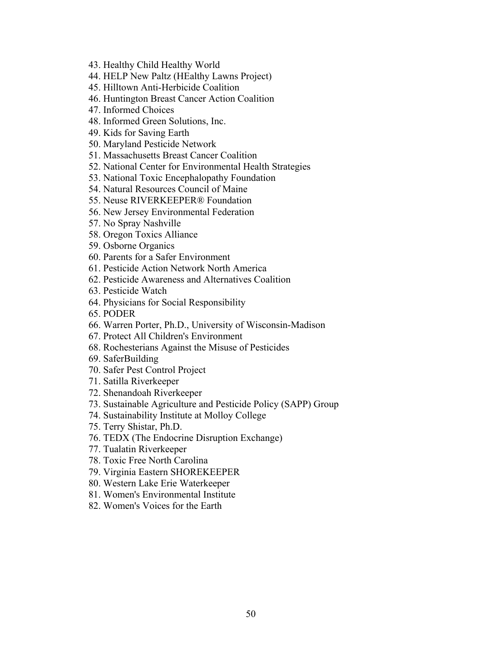- 43. Healthy Child Healthy World
- 44. HELP New Paltz (HEalthy Lawns Project)
- 45. Hilltown Anti-Herbicide Coalition
- 46. Huntington Breast Cancer Action Coalition
- 47. Informed Choices
- 48. Informed Green Solutions, Inc.
- 49. Kids for Saving Earth
- 50. Maryland Pesticide Network
- 51. Massachusetts Breast Cancer Coalition
- 52. National Center for Environmental Health Strategies
- 53. National Toxic Encephalopathy Foundation
- 54. Natural Resources Council of Maine
- 55. Neuse RIVERKEEPER® Foundation
- 56. New Jersey Environmental Federation
- 57. No Spray Nashville
- 58. Oregon Toxics Alliance
- 59. Osborne Organics
- 60. Parents for a Safer Environment
- 61. Pesticide Action Network North America
- 62. Pesticide Awareness and Alternatives Coalition
- 63. Pesticide Watch
- 64. Physicians for Social Responsibility
- 65. PODER
- 66. Warren Porter, Ph.D., University of Wisconsin-Madison
- 67. Protect All Children's Environment
- 68. Rochesterians Against the Misuse of Pesticides
- 69. SaferBuilding
- 70. Safer Pest Control Project
- 71. Satilla Riverkeeper
- 72. Shenandoah Riverkeeper
- 73. Sustainable Agriculture and Pesticide Policy (SAPP) Group
- 74. Sustainability Institute at Molloy College
- 75. Terry Shistar, Ph.D.
- 76. TEDX (The Endocrine Disruption Exchange)
- 77. Tualatin Riverkeeper
- 78. Toxic Free North Carolina
- 79. Virginia Eastern SHOREKEEPER
- 80. Western Lake Erie Waterkeeper
- 81. Women's Environmental Institute
- 82. Women's Voices for the Earth